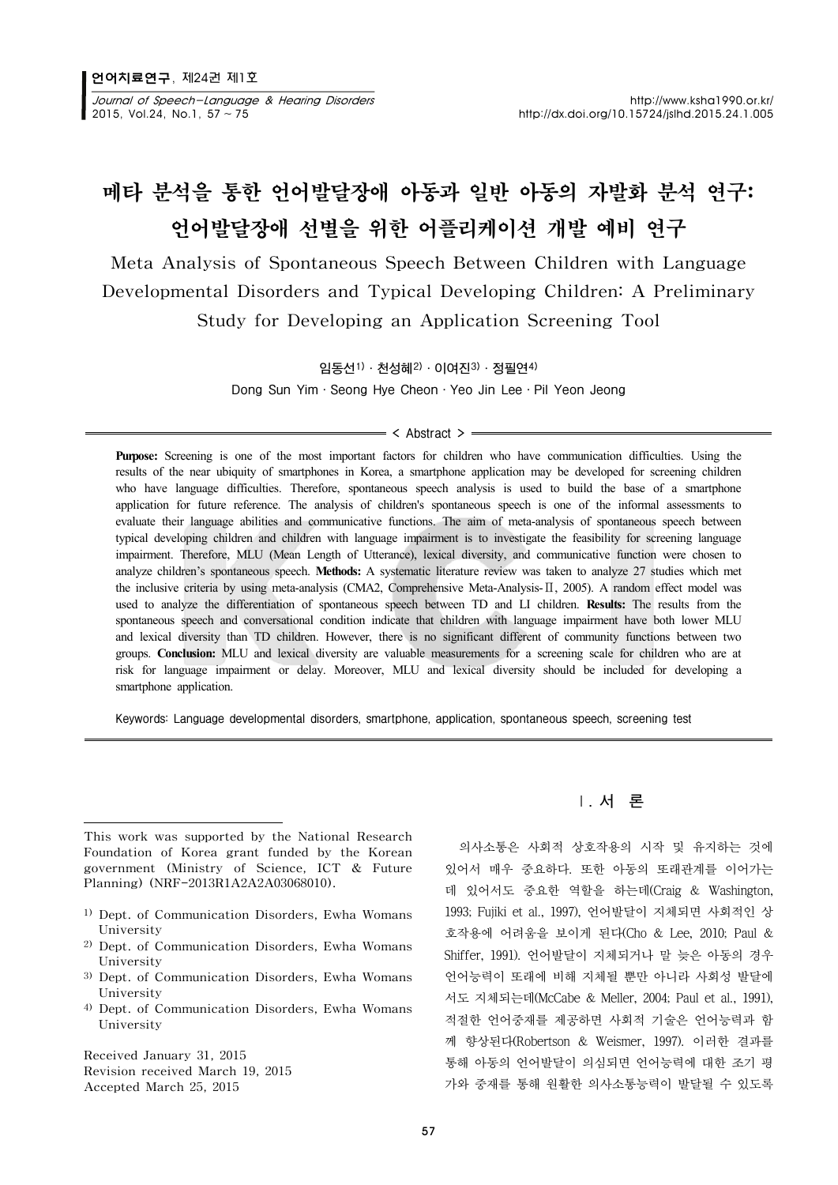Journal of Speech-Language & Hearing Disorders http://www.ksha1990.or.kr/ 2015, Vol.24, No.1, 57 ~ 75 http://dx.doi.org/10.15724/jslhd.2015.24.1.005

# 메타 분석을 통한 언어발달장애 아동과 일반 아동의 자발화 분석 연구: 언어발달장애 선별을 위한 어플리케이션 개발 예비 연구

Meta Analysis of Spontaneous Speech Between Children with Language Developmental Disorders and Typical Developing Children: A Preliminary Study for Developing an Application Screening Tool

임동선1)·천성혜2)·이여진3)·정필연4)

Dong Sun Yim·Seong Hye Cheon·Yeo Jin Lee·Pil Yeon Jeong

#### $=$  < Abstract >  $=$

**Purpose:** Screening is one of the most important factors for children who have communication difficulties. Using the results of the near ubiquity of smartphones in Korea, a smartphone application may be developed for screening children who have language difficulties. Therefore, spontaneous speech analysis is used to build the base of a smartphone application for future reference. The analysis of children's spontaneous speech is one of the informal assessments to evaluate their language abilities and communicative functions. The aim of meta-analysis of spontaneous speech between typical developing children and children with language impairment is to investigate the feasibility for screening language impairment. Therefore, MLU (Mean Length of Utterance), lexical diversity, and communicative function were chosen to analyze children's spontaneous speech. **Methods:** A systematic literature review was taken to analyze 27 studies which met the inclusive criteria by using meta-analysis (CMA2, Comprehensive Meta-Analysis-Ⅱ, 2005). A random effect model was used to analyze the differentiation of spontaneous speech between TD and LI children. **Results:** The results from the spontaneous speech and conversational condition indicate that children with language impairment have both lower MLU and lexical diversity than TD children. However, there is no significant different of community functions between two groups. **Conclusion:** MLU and lexical diversity are valuable measurements for a screening scale for children who are at risk for language impairment or delay. Moreover, MLU and lexical diversity should be included for developing a smartphone application.

Keywords: Language developmental disorders, smartphone, application, spontaneous speech, screening test

This work was supported by the National Research Foundation of Korea grant funded by the Korean government (Ministry of Science, ICT & Future Planning) (NRF-2013R1A2A2A03068010).

- 1) Dept. of Communication Disorders, Ewha Womans University
- 2) Dept. of Communication Disorders, Ewha Womans University
- 3) Dept. of Communication Disorders, Ewha Womans University
- 4) Dept. of Communication Disorders, Ewha Womans University

Received January 31, 2015 Revision received March 19, 2015 Accepted March 25, 2015

## Ⅰ. 서 론

의사소통은 사회적 상호작용의 시작 및 유지하는 것에 있어서 매우 중요하다. 또한 아동의 또래관계를 이어가는 데 있어서도 중요한 역할을 하는데(Craig & Washington, 1993; Fujiki et al., 1997), 언어발달이 지체되면 사회적인 상 호작용에 어려움을 보이게 된다(Cho & Lee, 2010; Paul & Shiffer, 1991). 언어발달이 지체되거나 말 늦은 아동의 경우 언어능력이 또래에 비해 지체될 뿐만 아니라 사회성 발달에 서도 지체되는데(McCabe & Meller, 2004; Paul et al., 1991), 적절한 언어중재를 제공하면 사회적 기술은 언어능력과 함 께 향상된다(Robertson & Weismer, 1997). 이러한 결과를 통해 아동의 언어발달이 의심되면 언어능력에 대한 조기 평 가와 중재를 통해 원활한 의사소통능력이 발달될 수 있도록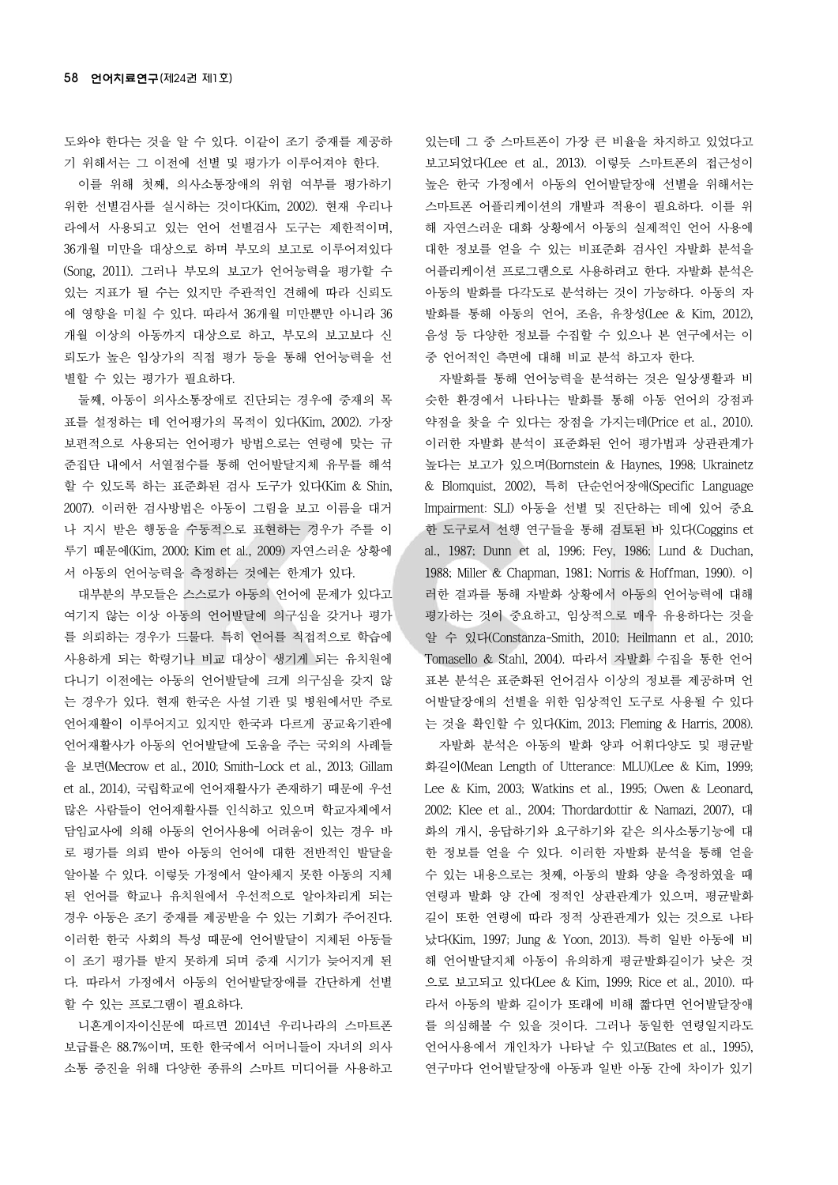도와야 한다는 것을 알 수 있다. 이같이 조기 중재를 제공하 기 위해서는 그 이전에 선별 및 평가가 이루어져야 한다.

이를 위해 첫째, 의사소통장애의 위험 여부를 평가하기 위한 선별검사를 실시하는 것이다(Kim, 2002). 현재 우리나 라에서 사용되고 있는 언어 선별검사 도구는 제한적이며, 36개월 미만을 대상으로 하며 부모의 보고로 이루어져있다 (Song, 2011). 그러나 부모의 보고가 언어능력을 평가할 수 있는 지표가 될 수는 있지만 주관적인 견해에 따라 신뢰도 에 영향을 미칠 수 있다. 따라서 36개월 미만뿐만 아니라 36 개월 이상의 아동까지 대상으로 하고, 부모의 보고보다 신 뢰도가 높은 임상가의 직접 평가 등을 통해 언어능력을 선 별할 수 있는 평가가 필요하다.

둘째, 아동이 의사소통장애로 진단되는 경우에 중재의 목 표를 설정하는 데 언어평가의 목적이 있다(Kim, 2002). 가장 보편적으로 사용되는 언어평가 방법으로는 연령에 맞는 규 준집단 내에서 서열점수를 통해 언어발달지체 유무를 해석 할 수 있도록 하는 표준화된 검사 도구가 있다(Kim & Shin, 2007). 이러한 검사방법은 아동이 그림을 보고 이름을 대거 나 지시 받은 행동을 수동적으로 표현하는 경우가 주를 이 루기 때문에(Kim, 2000; Kim et al., 2009) 자연스러운 상황에 서 아동의 언어능력을 측정하는 것에는 한계가 있다.

대부분의 부모들은 스스로가 아동의 언어에 문제가 있다고 여기지 않는 이상 아동의 언어발달에 의구심을 갖거나 평가 를 의뢰하는 경우가 드물다. 특히 언어를 직접적으로 학습에 사용하게 되는 학령기나 비교 대상이 생기게 되는 유치원에 다니기 이전에는 아동의 언어발달에 크게 의구심을 갖지 않 는 경우가 있다. 현재 한국은 사설 기관 및 병원에서만 주로 언어재활이 이루어지고 있지만 한국과 다르게 공교육기관에 언어재활사가 아동의 언어발달에 도움을 주는 국외의 사례들 을 보면(Mecrow et al., 2010; Smith-Lock et al., 2013; Gillam et al., 2014), 국립학교에 언어재활사가 존재하기 때문에 우선 많은 사람들이 언어재활사를 인식하고 있으며 학교자체에서 담임교사에 의해 아동의 언어사용에 어려움이 있는 경우 바 로 평가를 의뢰 받아 아동의 언어에 대한 전반적인 발달을 알아볼 수 있다. 이렇듯 가정에서 알아채지 못한 아동의 지체 된 언어를 학교나 유치원에서 우선적으로 알아차리게 되는 경우 아동은 조기 중재를 제공받을 수 있는 기회가 주어진다. 이러한 한국 사회의 특성 때문에 언어발달이 지체된 아동들 이 조기 평가를 받지 못하게 되며 중재 시기가 늦어지게 된 다. 따라서 가정에서 아동의 언어발달장애를 간단하게 선별 할 수 있는 프로그램이 필요하다.

니혼게이자이신문에 따르면 2014년 우리나라의 스마트폰 보급률은 88.7%이며, 또한 한국에서 어머니들이 자녀의 의사 소통 증진을 위해 다양한 종류의 스마트 미디어를 사용하고

있는데 그 중 스마트폰이 가장 큰 비율을 차지하고 있었다고 보고되었다(Lee et al., 2013). 이렇듯 스마트폰의 접근성이 높은 한국 가정에서 아동의 언어발달장애 선별을 위해서는 스마트폰 어플리케이션의 개발과 적용이 필요하다. 이를 위 해 자연스러운 대화 상황에서 아동의 실제적인 언어 사용에 대한 정보를 얻을 수 있는 비표준화 검사인 자발화 분석을 어플리케이션 프로그램으로 사용하려고 한다. 자발화 분석은 아동의 발화를 다각도로 분석하는 것이 가능하다. 아동의 자 발화를 통해 아동의 언어, 조음, 유창성(Lee & Kim, 2012), 음성 등 다양한 정보를 수집할 수 있으나 본 연구에서는 이 중 언어적인 측면에 대해 비교 분석 하고자 한다.

자발화를 통해 언어능력을 분석하는 것은 일상생활과 비 슷한 환경에서 나타나는 발화를 통해 아동 언어의 강점과 약점을 찾을 수 있다는 장점을 가지는데(Price et al., 2010). 이러한 자발화 분석이 표준화된 언어 평가법과 상관관계가 높다는 보고가 있으며(Bornstein & Haynes, 1998; Ukrainetz & Blomquist, 2002), 특히 단순언어장애(Specific Language Impairment: SLI) 아동을 선별 및 진단하는 데에 있어 중요 한 도구로서 선행 연구들을 통해 검토된 바 있다(Coggins et al., 1987; Dunn et al, 1996; Fey, 1986; Lund & Duchan, 1988; Miller & Chapman, 1981; Norris & Hoffman, 1990). 이 러한 결과를 통해 자발화 상황에서 아동의 언어능력에 대해 평가하는 것이 중요하고, 임상적으로 매우 유용하다는 것을 알 수 있다(Constanza-Smith, 2010; Heilmann et al., 2010; Tomasello & Stahl, 2004). 따라서 자발화 수집을 통한 언어 표본 분석은 표준화된 언어검사 이상의 정보를 제공하며 언 어발달장애의 선별을 위한 임상적인 도구로 사용될 수 있다 는 것을 확인할 수 있다(Kim, 2013; Fleming & Harris, 2008).

자발화 분석은 아동의 발화 양과 어휘다양도 및 평균발 화길이(Mean Length of Utterance: MLU)(Lee & Kim, 1999; Lee & Kim, 2003; Watkins et al., 1995; Owen & Leonard, 2002; Klee et al., 2004; Thordardottir & Namazi, 2007), 대 화의 개시, 응답하기와 요구하기와 같은 의사소통기능에 대 한 정보를 얻을 수 있다. 이러한 자발화 분석을 통해 얻을 수 있는 내용으로는 첫째, 아동의 발화 양을 측정하였을 때 연령과 발화 양 간에 정적인 상관관계가 있으며, 평균발화 길이 또한 연령에 따라 정적 상관관계가 있는 것으로 나타 났다(Kim, 1997; Jung & Yoon, 2013). 특히 일반 아동에 비 해 언어발달지체 아동이 유의하게 평균발화길이가 낮은 것 으로 보고되고 있다(Lee & Kim, 1999; Rice et al., 2010). 따 라서 아동의 발화 길이가 또래에 비해 짧다면 언어발달장애 를 의심해볼 수 있을 것이다. 그러나 동일한 연령일지라도 언어사용에서 개인차가 나타날 수 있고(Bates et al., 1995), 연구마다 언어발달장애 아동과 일반 아동 간에 차이가 있기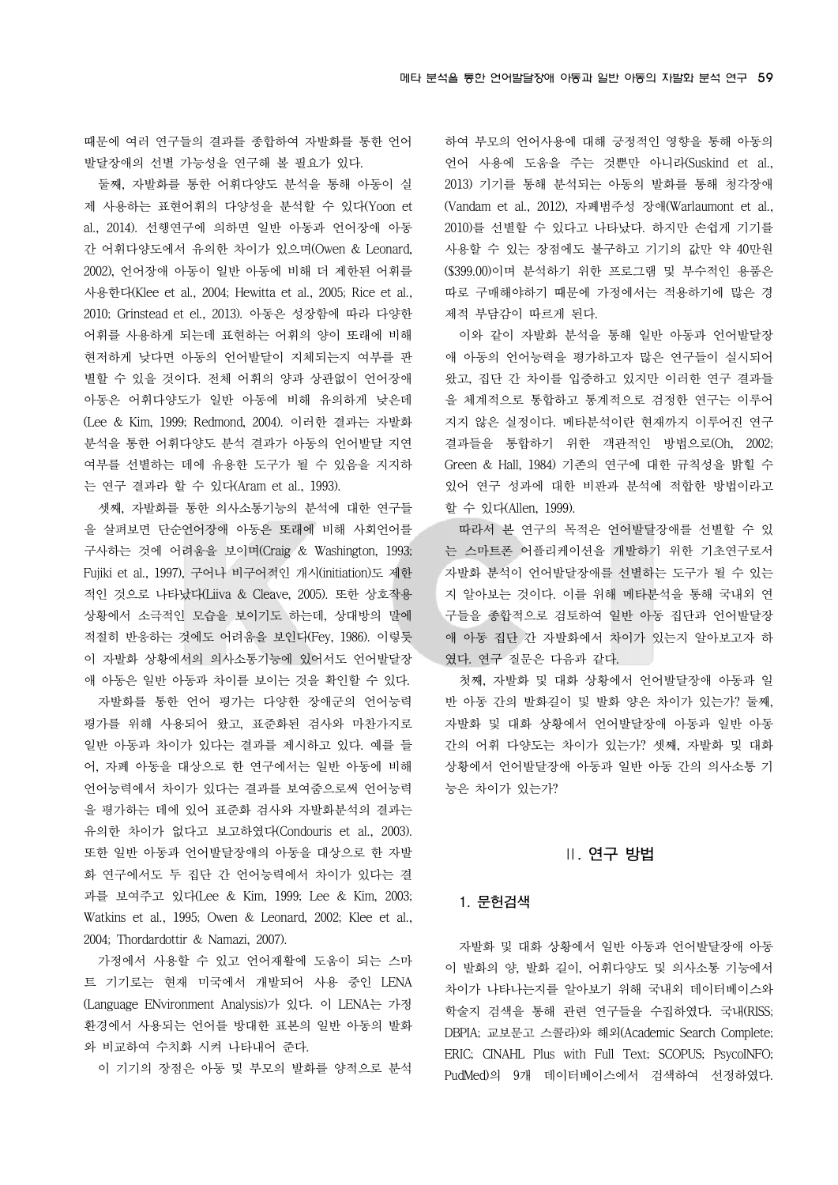때문에 여러 연구들의 결과를 종합하여 자발화를 통한 언어 발달장애의 선별 가능성을 연구해 볼 필요가 있다.

둘째, 자발화를 통한 어휘다양도 분석을 통해 아동이 실 제 사용하는 표현어휘의 다양성을 분석할 수 있다(Yoon et al., 2014). 선행연구에 의하면 일반 아동과 언어장애 아동 간 어휘다양도에서 유의한 차이가 있으며(Owen & Leonard, 2002), 언어장애 아동이 일반 아동에 비해 더 제한된 어휘를 사용한다(Klee et al., 2004; Hewitta et al., 2005; Rice et al., 2010; Grinstead et el., 2013). 아동은 성장함에 따라 다양한 어휘를 사용하게 되는데 표현하는 어휘의 양이 또래에 비해 현저하게 낮다면 아동의 언어발달이 지체되는지 여부를 판 별할 수 있을 것이다. 전체 어휘의 양과 상관없이 언어장애 아동은 어휘다양도가 일반 아동에 비해 유의하게 낮은데 (Lee & Kim, 1999; Redmond, 2004). 이러한 결과는 자발화 분석을 통한 어휘다양도 분석 결과가 아동의 언어발달 지연 여부를 선별하는 데에 유용한 도구가 될 수 있음을 지지하 는 연구 결과라 할 수 있다(Aram et al., 1993).

셋째, 자발화를 통한 의사소통기능의 분석에 대한 연구들 을 살펴보면 단순언어장애 아동은 또래에 비해 사회언어를 구사하는 것에 어려움을 보이며(Craig & Washington, 1993; Fujiki et al., 1997), 구어나 비구어적인 개시(initiation)도 제한 적인 것으로 나타났다(Liiva & Cleave, 2005). 또한 상호작용 상황에서 소극적인 모습을 보이기도 하는데, 상대방의 말에 적절히 반응하는 것에도 어려움을 보인다(Fey, 1986). 이렇듯 이 자발화 상황에서의 의사소통기능에 있어서도 언어발달장 애 아동은 일반 아동과 차이를 보이는 것을 확인할 수 있다.

자발화를 통한 언어 평가는 다양한 장애군의 언어능력 평가를 위해 사용되어 왔고, 표준화된 검사와 마찬가지로 일반 아동과 차이가 있다는 결과를 제시하고 있다. 예를 들 어, 자폐 아동을 대상으로 한 연구에서는 일반 아동에 비해 언어능력에서 차이가 있다는 결과를 보여줌으로써 언어능력 을 평가하는 데에 있어 표준화 검사와 자발화분석의 결과는 유의한 차이가 없다고 보고하였다(Condouris et al., 2003). 또한 일반 아동과 언어발달장애의 아동을 대상으로 한 자발 화 연구에서도 두 집단 간 언어능력에서 차이가 있다는 결 과를 보여주고 있다(Lee & Kim, 1999; Lee & Kim, 2003; Watkins et al., 1995; Owen & Leonard, 2002; Klee et al., 2004; Thordardottir & Namazi, 2007).

가정에서 사용할 수 있고 언어재활에 도움이 되는 스마 트 기기로는 현재 미국에서 개발되어 사용 중인 LENA (Language ENvironment Analysis)가 있다. 이 LENA는 가정 환경에서 사용되는 언어를 방대한 표본의 일반 아동의 발화 와 비교하여 수치화 시켜 나타내어 준다.

이 기기의 장점은 아동 및 부모의 발화를 양적으로 분석

하여 부모의 언어사용에 대해 긍정적인 영향을 통해 아동의 언어 사용에 도움을 주는 것뿐만 아니라(Suskind et al., 2013) 기기를 통해 분석되는 아동의 발화를 통해 청각장애 (Vandam et al., 2012), 자폐범주성 장애(Warlaumont et al., 2010)를 선별할 수 있다고 나타났다. 하지만 손쉽게 기기를 사용할 수 있는 장점에도 불구하고 기기의 값만 약 40만원 (\$399.00)이며 분석하기 위한 프로그램 및 부수적인 용품은 따로 구매해야하기 때문에 가정에서는 적용하기에 많은 경 제적 부담감이 따르게 된다.

이와 같이 자발화 분석을 통해 일반 아동과 언어발달장 애 아동의 언어능력을 평가하고자 많은 연구들이 실시되어 왔고, 집단 간 차이를 입증하고 있지만 이러한 연구 결과들 을 체계적으로 통합하고 통계적으로 검정한 연구는 이루어 지지 않은 실정이다. 메타분석이란 현재까지 이루어진 연구 결과들을 통합하기 위한 객관적인 방법으로(Oh, 2002; Green & Hall, 1984) 기존의 연구에 대한 규칙성을 밝힐 수 있어 연구 성과에 대한 비판과 분석에 적합한 방법이라고 할 수 있다(Allen, 1999).

따라서 본 연구의 목적은 언어발달장애를 선별할 수 있 는 스마트폰 어플리케이션을 개발하기 위한 기초연구로서 자발화 분석이 언어발달장애를 선별하는 도구가 될 수 있는 지 알아보는 것이다. 이를 위해 메타분석을 통해 국내외 연 구들을 종합적으로 검토하여 일반 아동 집단과 언어발달장 애 아동 집단 간 자발화에서 차이가 있는지 알아보고자 하 였다. 연구 질문은 다음과 같다.

첫째, 자발화 및 대화 상황에서 언어발달장애 아동과 일 반 아동 간의 발화길이 및 발화 양은 차이가 있는가? 둘째, 자발화 및 대화 상황에서 언어발달장애 아동과 일반 아동 간의 어휘 다양도는 차이가 있는가? 셋째, 자발화 및 대화 상황에서 언어발달장애 아동과 일반 아동 간의 의사소통 기 능은 차이가 있는가?

## Ⅱ. 연구 방법

#### 1. 문헌검색

자발화 및 대화 상황에서 일반 아동과 언어발달장애 아동 이 발화의 양, 발화 길이, 어휘다양도 및 의사소통 기능에서 차이가 나타나는지를 알아보기 위해 국내외 데이터베이스와 학술지 검색을 통해 관련 연구들을 수집하였다. 국내(RISS; DBPIA; 교보문고 스콜라)와 해외(Academic Search Complete; ERIC; CINAHL Plus with Full Text; SCOPUS; PsycoINFO; PudMed)의 9개 데이터베이스에서 검색하여 선정하였다.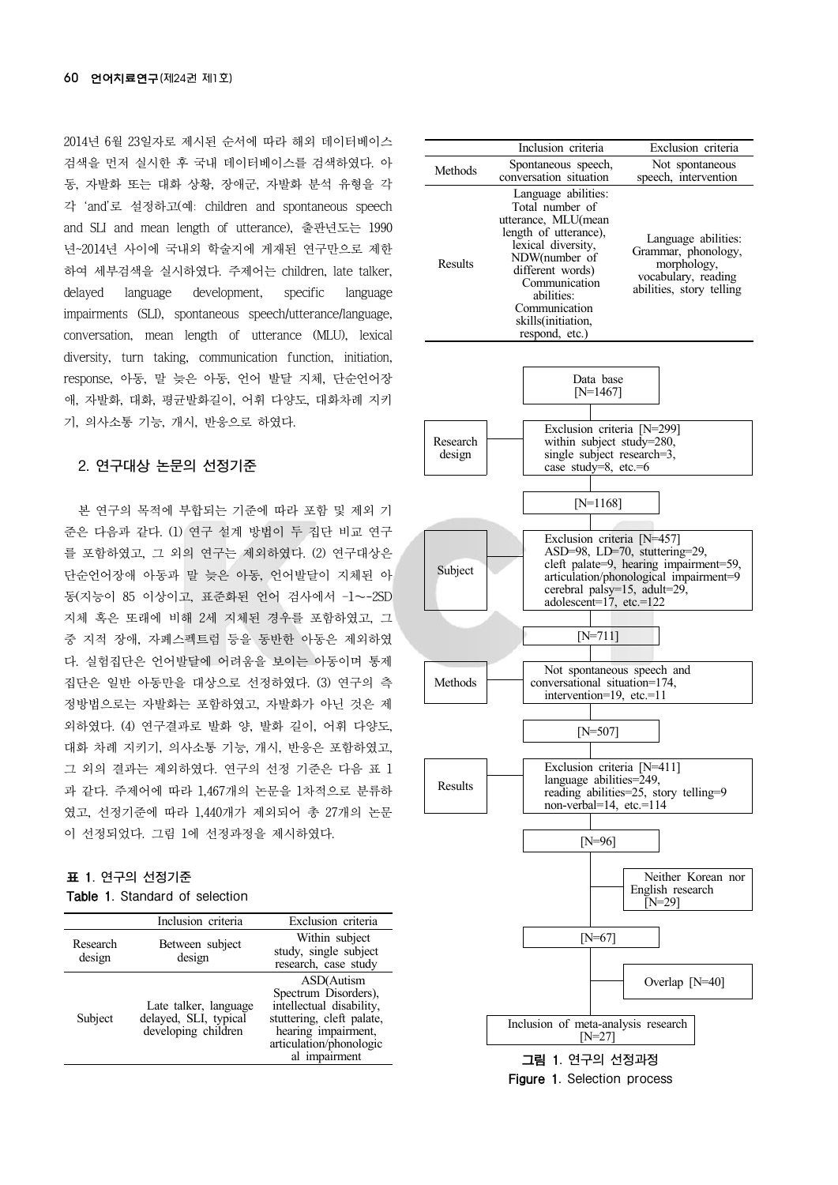2014년 6월 23일자로 제시된 순서에 따라 해외 데이터베이스 검색을 먼저 실시한 후 국내 데이터베이스를 검색하였다. 아 동, 자발화 또는 대화 상황, 장애군, 자발화 분석 유형을 각 각 'and'로 설정하고(예: children and spontaneous speech and SLI and mean length of utterance), 출판년도는 1990 년~2014년 사이에 국내외 학술지에 게재된 연구만으로 제한 하여 세부검색을 실시하였다. 주제어는 children, late talker, delayed language development, specific language impairments (SLI), spontaneous speech/utterance/language, conversation, mean length of utterance (MLU), lexical diversity, turn taking, communication function, initiation, response, 아동, 말 늦은 아동, 언어 발달 지체, 단순언어장 애, 자발화, 대화, 평균발화길이, 어휘 다양도, 대화차례 지키 기, 의사소통 기능, 개시, 반응으로 하였다.

### 2. 연구대상 논문의 선정기준

본 연구의 목적에 부합되는 기준에 따라 포함 및 제외 기 준은 다음과 같다. (1) 연구 설계 방법이 두 집단 비교 연구 를 포함하였고, 그 외의 연구는 제외하였다. (2) 연구대상은 단순언어장애 아동과 말 늦은 아동, 언어발달이 지체된 아 동(지능이 85 이상이고, 표준화된 언어 검사에서 –1∼-2SD 지체 혹은 또래에 비해 2세 지체된 경우를 포함하였고, 그 중 지적 장애, 자폐스펙트럼 등을 동반한 아동은 제외하였 다. 실험집단은 언어발달에 어려움을 보이는 아동이며 통제 집단은 일반 아동만을 대상으로 선정하였다. (3) 연구의 측 정방법으로는 자발화는 포함하였고, 자발화가 아닌 것은 제 외하였다. (4) 연구결과로 발화 양, 발화 길이, 어휘 다양도, 대화 차례 지키기, 의사소통 기능, 개시, 반응은 포함하였고, 그 외의 결과는 제외하였다. 연구의 선정 기준은 다음 표 1 과 같다. 주제어에 따라 1,467개의 논문을 1차적으로 분류하 였고, 선정기준에 따라 1,440개가 제외되어 총 27개의 논문 이 선정되었다. 그림 1에 선정과정을 제시하였다.

### 표 1. 연구의 선정기준 Table 1. Standard of selection

|                    | Inclusion criteria                                                    | Exclusion criteria                                                                                                                                             |
|--------------------|-----------------------------------------------------------------------|----------------------------------------------------------------------------------------------------------------------------------------------------------------|
| Research<br>design | Between subject<br>design                                             | Within subject<br>study, single subject<br>research, case study                                                                                                |
| Subject            | Late talker, language<br>delayed, SLI, typical<br>developing children | ASD(Autism<br>Spectrum Disorders),<br>intellectual disability,<br>stuttering, cleft palate,<br>hearing impairment,<br>articulation/phonologic<br>al impairment |

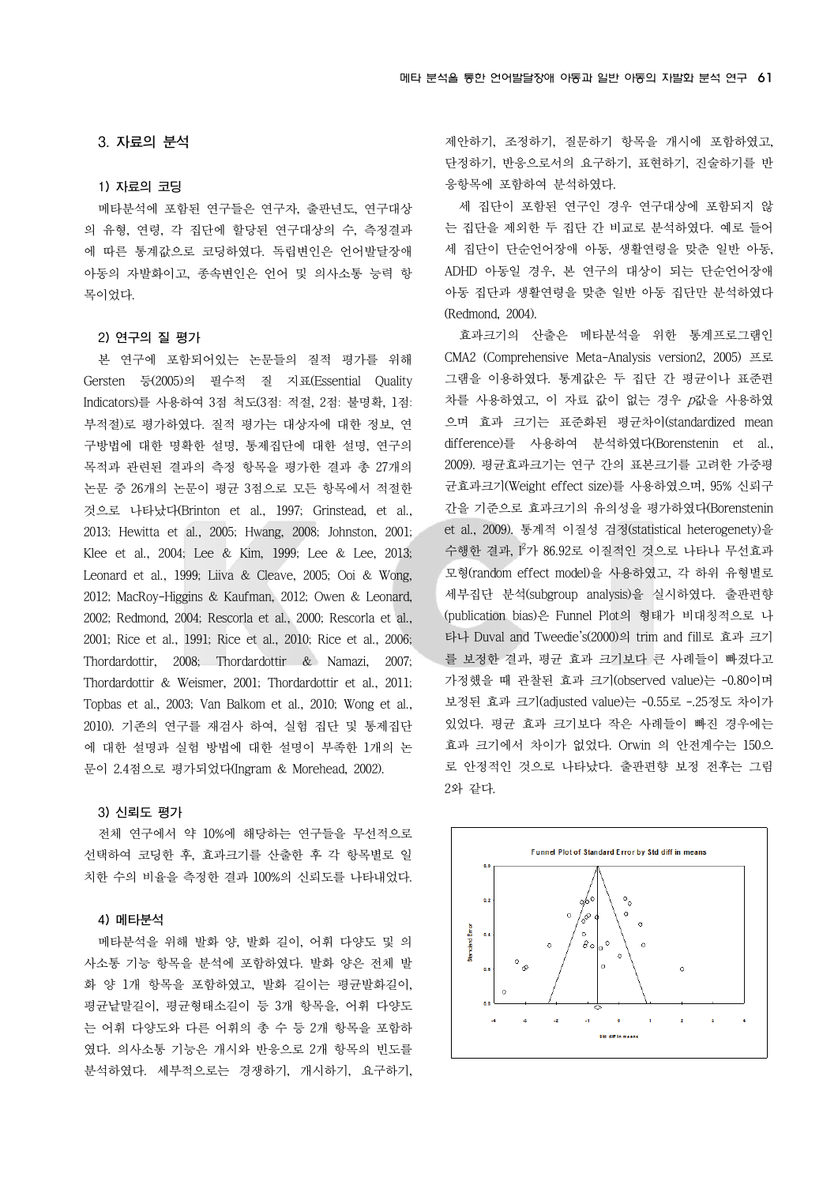#### 3. 자료의 분석

#### 1) 자료의 코딩

메타분석에 포함된 연구들은 연구자, 출판년도, 연구대상 의 유형, 연령, 각 집단에 할당된 연구대상의 수, 측정결과 에 따른 통계값으로 코딩하였다. 독립변인은 언어발달장애 아동의 자발화이고, 종속변인은 언어 및 의사소통 능력 항 목이었다.

#### 2) 연구의 질 평가

본 연구에 포함되어있는 논문들의 질적 평가를 위해 Gersten 등(2005)의 필수적 질 지표(Essential Quality Indicators)를 사용하여 3점 척도(3점: 적절, 2점: 불명확, 1점: 부적절)로 평가하였다. 질적 평가는 대상자에 대한 정보, 연 구방법에 대한 명확한 설명, 통제집단에 대한 설명, 연구의 목적과 관련된 결과의 측정 항목을 평가한 결과 총 27개의 논문 중 26개의 논문이 평균 3점으로 모든 항목에서 적절한 것으로 나타났다(Brinton et al., 1997; Grinstead, et al., 2013; Hewitta et al., 2005; Hwang, 2008; Johnston, 2001; Klee et al., 2004; Lee & Kim, 1999; Lee & Lee, 2013; Leonard et al., 1999; Liiva & Cleave, 2005; Ooi & Wong, 2012; MacRoy-Higgins & Kaufman, 2012; Owen & Leonard, 2002; Redmond, 2004; Rescorla et al., 2000; Rescorla et al., 2001; Rice et al., 1991; Rice et al., 2010; Rice et al., 2006; Thordardottir, 2008; Thordardottir & Namazi, 2007; Thordardottir & Weismer, 2001; Thordardottir et al., 2011; Topbas et al., 2003; Van Balkom et al., 2010; Wong et al., 2010). 기존의 연구를 재검사 하여, 실험 집단 및 통제집단 에 대한 설명과 실험 방법에 대한 설명이 부족한 1개의 논 문이 2.4점으로 평가되었다(Ingram & Morehead, 2002).

#### 3) 신뢰도 평가

전체 연구에서 약 10%에 해당하는 연구들을 무선적으로 선택하여 코딩한 후, 효과크기를 산출한 후 각 항목별로 일 치한 수의 비율을 측정한 결과 100%의 신뢰도를 나타내었다.

#### 4) 메타분석

메타분석을 위해 발화 양, 발화 길이, 어휘 다양도 및 의 사소통 기능 항목을 분석에 포함하였다. 발화 양은 전체 발 화 양 1개 항목을 포함하였고, 발화 길이는 평균발화길이, 평균낱말길이, 평균형태소길이 등 3개 항목을, 어휘 다양도 는 어휘 다양도와 다른 어휘의 총 수 등 2개 항목을 포함하 였다. 의사소통 기능은 개시와 반응으로 2개 항목의 빈도를 분석하였다. 세부적으로는 경쟁하기, 개시하기, 요구하기, 제안하기, 조정하기, 질문하기 항목을 개시에 포함하였고, 단정하기, 반응으로서의 요구하기, 표현하기, 진술하기를 반 응항목에 포함하여 분석하였다.

세 집단이 포함된 연구인 경우 연구대상에 포함되지 않 는 집단을 제외한 두 집단 간 비교로 분석하였다. 예로 들어 세 집단이 단순언어장애 아동, 생활연령을 맞춘 일반 아동, ADHD 아동일 경우, 본 연구의 대상이 되는 단순언어장애 아동 집단과 생활연령을 맞춘 일반 아동 집단만 분석하였다 (Redmond, 2004).

효과크기의 산출은 메타분석을 위한 통계프로그램인 CMA2 (Comprehensive Meta-Analysis version2, 2005) 프로 그램을 이용하였다. 통계값은 두 집단 간 평균이나 표준편 차를 사용하였고, 이 자료 값이 없는 경우 p값을 사용하였 으며 효과 크기는 표준화된 평균차이(standardized mean difference)를 사용하여 분석하였다(Borenstenin et al., 2009). 평균효과크기는 연구 간의 표본크기를 고려한 가중평 균효과크기(Weight effect size)를 사용하였으며, 95% 신뢰구 간을 기준으로 효과크기의 유의성을 평가하였다(Borenstenin et al., 2009). 통계적 이질성 검정(statistical heterogenety)을 수행한 결과, I2 가 86.92로 이질적인 것으로 나타나 무선효과 모형(random effect model)을 사용하였고, 각 하위 유형별로 세부집단 분석(subgroup analysis)을 실시하였다. 출판편향 (publication bias)은 Funnel Plot의 형태가 비대칭적으로 나 타나 Duval and Tweedie's(2000)의 trim and fill로 효과 크기 를 보정한 결과, 평균 효과 크기보다 큰 사례들이 빠졌다고 가정했을 때 관찰된 효과 크기(observed value)는 -0.80이며 보정된 효과 크기(adjusted value)는 -0.55로 -.25정도 차이가 있었다. 평균 효과 크기보다 작은 사례들이 빠진 경우에는 효과 크기에서 차이가 없었다. Orwin 의 안전계수는 150으 로 안정적인 것으로 나타났다. 출판편향 보정 전후는 그림 2와 같다.

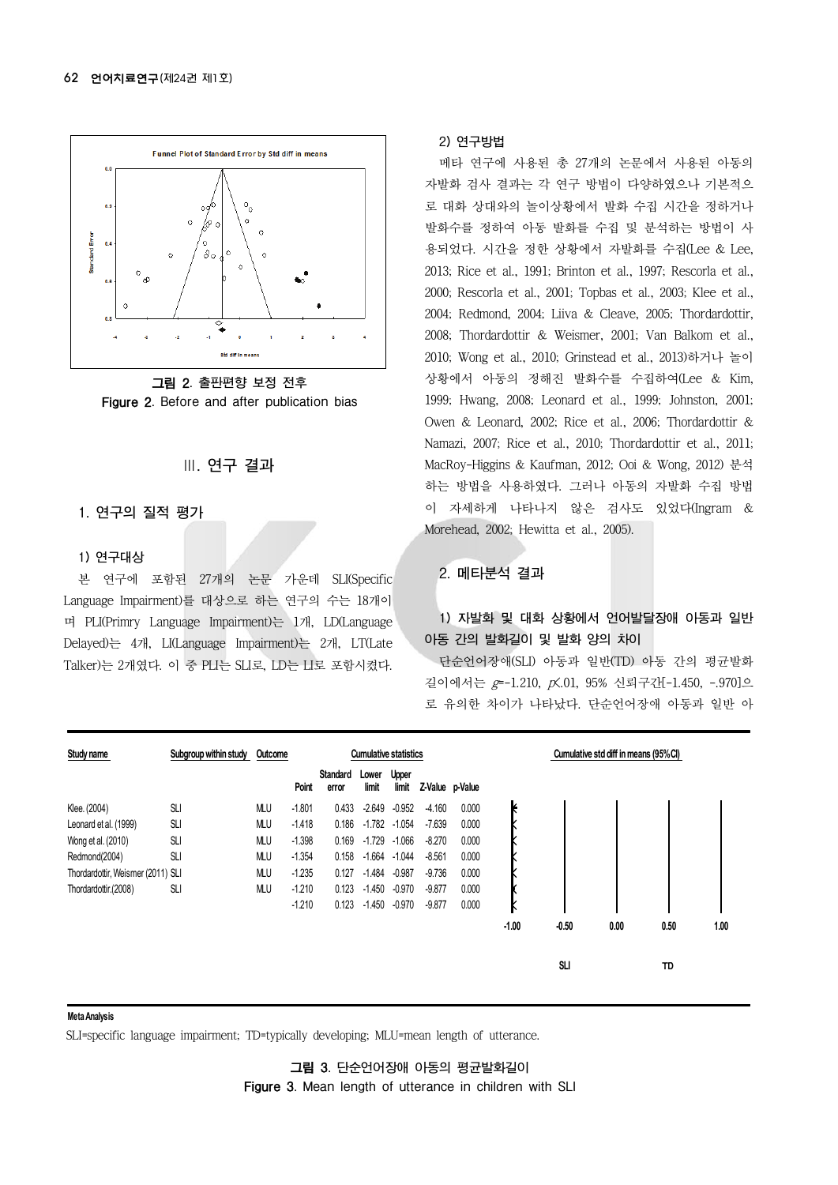

그림 2. 출판편향 보정 전후 Figure 2. Before and after publication bias

### Ⅲ. 연구 결과

#### 1. 연구의 질적 평가

#### 1) 연구대상

본 연구에 포함된 27개의 논문 가운데 SLI(Specific Language Impairment)를 대상으로 하는 연구의 수는 18개이 며 PLI(Primry Language Impairment)는 1개, LD(Language Delayed)는 4개, LI(Language Impairment)는 2개, LT(Late Talker)는 2개였다. 이 중 PLI는 SLI로, LD는 LI로 포함시켰다.

#### 2) 연구방법

메타 연구에 사용된 총 27개의 논문에서 사용된 아동의 자발화 검사 결과는 각 연구 방법이 다양하였으나 기본적으 로 대화 상대와의 놀이상황에서 발화 수집 시간을 정하거나 발화수를 정하여 아동 발화를 수집 및 분석하는 방법이 사 용되었다. 시간을 정한 상황에서 자발화를 수집(Lee & Lee, 2013; Rice et al., 1991; Brinton et al., 1997; Rescorla et al., 2000; Rescorla et al., 2001; Topbas et al., 2003; Klee et al., 2004; Redmond, 2004; Liiva & Cleave, 2005; Thordardottir, 2008; Thordardottir & Weismer, 2001; Van Balkom et al., 2010; Wong et al., 2010; Grinstead et al., 2013)하거나 놀이 상황에서 아동의 정해진 발화수를 수집하여(Lee & Kim, 1999; Hwang, 2008; Leonard et al., 1999; Johnston, 2001; Owen & Leonard, 2002; Rice et al., 2006; Thordardottir & Namazi, 2007; Rice et al., 2010; Thordardottir et al., 2011; MacRoy-Higgins & Kaufman, 2012; Ooi & Wong, 2012) 분석 하는 방법을 사용하였다. 그러나 아동의 자발화 수집 방법 이 자세하게 나타나지 않은 검사도 있었다(Ingram & Morehead, 2002; Hewitta et al., 2005).

#### 2. 메타분석 결과

## 1) 자발화 및 대화 상황에서 언어발달장애 아동과 일반 아동 간의 발화길이 및 발화 양의 차이

단순언어장애(SLI) 아동과 일반(TD) 아동 간의 평균발화 길이에서는 g=-1.210, p<.01, 95% 신뢰구간[-1.450, -.970]으 로 유의한 차이가 나타났다. 단순언어장애 아동과 일반 아

| Study name                        | Subgroup within study | Outcome |          | <b>Cumulative statistics</b> |                |                |                 | Cumulative std diff in means (95%CI) |         |         |      |      |      |
|-----------------------------------|-----------------------|---------|----------|------------------------------|----------------|----------------|-----------------|--------------------------------------|---------|---------|------|------|------|
|                                   |                       |         | Point    | Standard<br>error            | Lower<br>limit | Upper<br>limit | Z-Value p-Value |                                      |         |         |      |      |      |
| Klee. (2004)                      | SLI                   | MLU     | $-1.801$ | 0.433                        | $-2.649$       | $-0.952$       | $-4.160$        | 0.000                                | K       |         |      |      |      |
| Leonard et al. (1999)             | <b>SLI</b>            | MLU     | $-1.418$ | 0.186                        | $-1.782$       | $-1.054$       | $-7.639$        | 0.000                                |         |         |      |      |      |
| Wong et al. (2010)                | <b>SLI</b>            | MLU     | $-1.398$ | 0.169                        | $-1.729$       | $-1.066$       | $-8.270$        | 0.000                                |         |         |      |      |      |
| Redmond(2004)                     | <b>SLI</b>            | MLU     | $-1.354$ | 0.158                        | $-1.664$       | $-1.044$       | $-8.561$        | 0.000                                |         |         |      |      |      |
| Thordardottir, Weismer (2011) SLI |                       | МU      | $-1.235$ | 0.127                        | $-1.484$       | $-0.987$       | $-9.736$        | 0.000                                |         |         |      |      |      |
| Thordardottir.(2008)              | <b>SLI</b>            | МU      | $-1.210$ | 0.123                        | $-1.450$       | $-0.970$       | $-9.877$        | 0.000                                |         |         |      |      |      |
|                                   |                       |         | $-1.210$ | 0.123                        | $-1.450$       | $-0.970$       | $-9.877$        | 0.000                                | N       |         |      |      |      |
|                                   |                       |         |          |                              |                |                |                 |                                      | $-1.00$ | $-0.50$ | 0.00 | 0.50 | 1.00 |
|                                   |                       |         |          |                              |                |                |                 |                                      |         | SLI     |      | TD   |      |

#### **Meta Analysis**

SLI=specific language impairment; TD=typically developing; MLU=mean length of utterance.

그림 3. 단순언어장애 아동의 평균발화길이 Figure 3. Mean length of utterance in children with SLI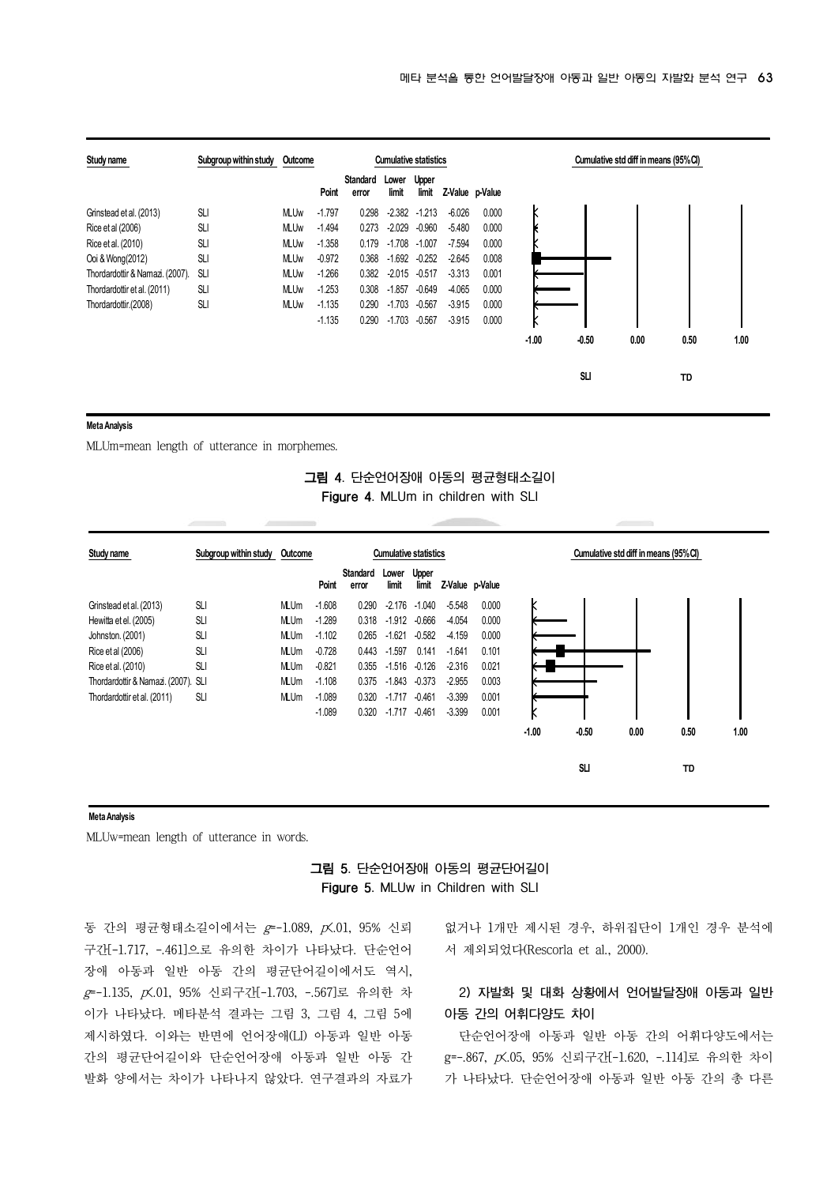

#### **Meta Analysis**

MLUm=mean length of utterance in morphemes.

### 그림 4. 단순언어장애 아동의 평균형태소길이 Figure 4. MLUm in children with SLI

| Study name                          | Subgroup within study | Outcome     | <b>Cumulative statistics</b> |                   |                |                       |                 |       | Cumulative std diff in means (95%CI) |         |      |      |      |
|-------------------------------------|-----------------------|-------------|------------------------------|-------------------|----------------|-----------------------|-----------------|-------|--------------------------------------|---------|------|------|------|
|                                     |                       |             | Point                        | Standard<br>error | Lower<br>limit | <b>Upper</b><br>limit | Z-Value p-Value |       |                                      |         |      |      |      |
| Grinstead et al. (2013)             | <b>SLI</b>            | <b>MLUm</b> | $-1.608$                     | 0.290             | $-2.176$       | $-1.040$              | $-5.548$        | 0.000 |                                      |         |      |      |      |
| Hewitta et el. (2005)               | <b>SLI</b>            | <b>MLUm</b> | $-1.289$                     | 0.318             | $-1.912$       | $-0.666$              | $-4.054$        | 0.000 |                                      |         |      |      |      |
| Johnston. (2001)                    | <b>SLI</b>            | <b>MLUm</b> | $-1.102$                     | 0.265             | $-1.621$       | $-0.582$              | $-4.159$        | 0.000 |                                      |         |      |      |      |
| Rice et al (2006)                   | <b>SLI</b>            | <b>MLUm</b> | $-0.728$                     | 0.443             | $-1.597$       | 0.141                 | $-1.641$        | 0.101 |                                      |         |      |      |      |
| Rice et al. (2010)                  | <b>SLI</b>            | <b>MLUm</b> | $-0.821$                     | 0.355             | $-1.516$       | $-0.126$              | $-2.316$        | 0.021 |                                      |         |      |      |      |
| Thordardottir & Namazi. (2007). SLI |                       | <b>MLUm</b> | $-1.108$                     | 0.375             | $-1.843$       | $-0.373$              | $-2.955$        | 0.003 |                                      |         |      |      |      |
| Thordardottir et al. (2011)         | <b>SLI</b>            | <b>MLUm</b> | $-1.089$                     | 0.320             | $-1.717$       | $-0.461$              | $-3.399$        | 0.001 |                                      |         |      |      |      |
|                                     |                       |             | $-1.089$                     | 0.320             | $-1.717$       | $-0.461$              | $-3.399$        | 0.001 | N                                    |         |      |      |      |
|                                     |                       |             |                              |                   |                |                       |                 |       | $-1.00$                              | $-0.50$ | 0.00 | 0.50 | 1.00 |
|                                     |                       |             |                              |                   |                |                       |                 |       |                                      | SLI     |      | TD   |      |

#### **Meta Analysis**

MLUw=mean length of utterance in words.

## 그림 5. 단순언어장애 아동의 평균단어길이 Figure 5. MLUw in Children with SLI

동 간의 평균형태소길이에서는 g=-1.089, p<.01, 95% 신뢰 구간[-1.717, -.461]으로 유의한 차이가 나타났다. 단순언어 장애 아동과 일반 아동 간의 평균단어길이에서도 역시, g=-1.135, p<.01, 95% 신뢰구간[-1.703, -.567]로 유의한 차 이가 나타났다. 메타분석 결과는 그림 3, 그림 4, 그림 5에 제시하였다. 이와는 반면에 언어장애(LI) 아동과 일반 아동 간의 평균단어길이와 단순언어장애 아동과 일반 아동 간 발화 양에서는 차이가 나타나지 않았다. 연구결과의 자료가 없거나 1개만 제시된 경우, 하위집단이 1개인 경우 분석에 서 제외되었다(Rescorla et al., 2000).

## 2) 자발화 및 대화 상황에서 언어발달장애 아동과 일반 아동 간의 어휘다양도 차이

단순언어장애 아동과 일반 아동 간의 어휘다양도에서는 g=-.867, p<.05, 95% 신뢰구간[-1.620, -.114]로 유의한 차이 가 나타났다. 단순언어장애 아동과 일반 아동 간의 총 다른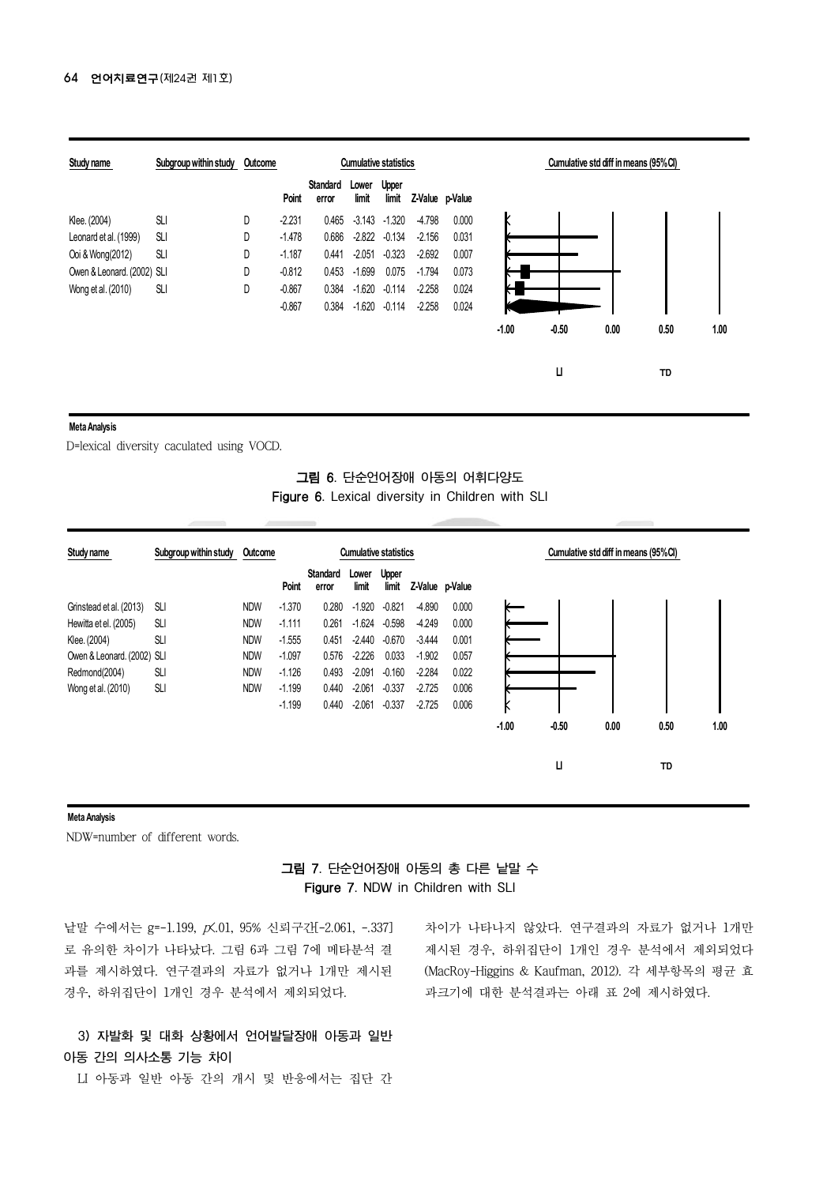| Study name                 | Subgroup within study | Outcome |          | <b>Cumulative statistics</b> |                |                | Cumulative std diff in means (95%CI) |       |         |         |      |      |      |
|----------------------------|-----------------------|---------|----------|------------------------------|----------------|----------------|--------------------------------------|-------|---------|---------|------|------|------|
|                            |                       |         | Point    | Standard<br>error            | Lower<br>limit | Upper<br>limit | Z-Value p-Value                      |       |         |         |      |      |      |
| Klee. (2004)               | <b>SLI</b>            | D       | $-2.231$ | 0.465                        | -3.143         | $-1.320$       | $-4.798$                             | 0.000 |         |         |      |      |      |
| Leonard et al. (1999)      | <b>SLI</b>            | D       | $-1.478$ | 0.686                        | $-2.822$       | $-0.134$       | $-2.156$                             | 0.031 |         |         |      |      |      |
| Ooi & Wong(2012)           | <b>SLI</b>            | D       | $-1.187$ | 0.441                        | $-2.051$       | $-0.323$       | $-2.692$                             | 0.007 |         |         |      |      |      |
| Owen & Leonard. (2002) SLI |                       | D       | $-0.812$ | 0.453                        | $-1.699$       | 0.075          | $-1.794$                             | 0.073 |         |         |      |      |      |
| Wong et al. (2010)         | <b>SLI</b>            | D       | $-0.867$ | 0.384                        | $-1.620$       | $-0.114$       | $-2.258$                             | 0.024 |         |         |      |      |      |
|                            |                       |         | $-0.867$ | 0.384                        | $-1.620$       | $-0.114$       | $-2.258$                             | 0.024 |         |         |      |      |      |
|                            |                       |         |          |                              |                |                |                                      |       | $-1.00$ | $-0.50$ | 0.00 | 0.50 | 1.00 |
|                            |                       |         |          |                              |                |                |                                      |       |         | Ц       |      | TD   |      |

#### **Meta Analysis**

D=lexical diversity caculated using VOCD.

### 그림 6. 단순언어장애 아동의 어휘다양도 Figure 6. Lexical diversity in Children with SLI

| Study name                 | Subgroup within study Outcome |            | <b>Cumulative statistics</b> |                          |                |                |                 |       | Cumulative std diff in means (95%CI) |         |      |      |      |
|----------------------------|-------------------------------|------------|------------------------------|--------------------------|----------------|----------------|-----------------|-------|--------------------------------------|---------|------|------|------|
|                            |                               |            | Point                        | <b>Standard</b><br>error | Lower<br>limit | Upper<br>limit | Z-Value p-Value |       |                                      |         |      |      |      |
| Grinstead et al. (2013)    | SLI                           | <b>NDW</b> | $-1.370$                     | 0.280                    | $-1.920$       | $-0.821$       | $-4.890$        | 0.000 |                                      |         |      |      |      |
| Hewitta et el. (2005)      | <b>SLI</b>                    | <b>NDW</b> | $-1.111$                     | 0.261                    | $-1.624$       | $-0.598$       | $-4.249$        | 0.000 |                                      |         |      |      |      |
| Klee. (2004)               | <b>SLI</b>                    | <b>NDW</b> | $-1.555$                     | 0.451                    | $-2.440$       | $-0.670$       | $-3.444$        | 0.001 |                                      |         |      |      |      |
| Owen & Leonard. (2002) SLI |                               | <b>NDW</b> | $-1.097$                     | 0.576                    | $-2.226$       | 0.033          | $-1.902$        | 0.057 |                                      |         |      |      |      |
| Redmond(2004)              | <b>SLI</b>                    | <b>NDW</b> | $-1.126$                     | 0.493                    | $-2.091$       | $-0.160$       | $-2.284$        | 0.022 |                                      |         |      |      |      |
| Wong et al. (2010)         | <b>SLI</b>                    | <b>NDW</b> | $-1.199$                     | 0.440                    | $-2.061$       | $-0.337$       | $-2.725$        | 0.006 |                                      |         |      |      |      |
|                            |                               |            | $-1.199$                     | 0.440                    | $-2.061$       | $-0.337$       | $-2.725$        | 0.006 | K                                    |         |      |      |      |
|                            |                               |            |                              |                          |                |                |                 |       | $-1.00$                              | $-0.50$ | 0.00 | 0.50 | 1.00 |
|                            |                               |            |                              |                          |                |                |                 |       |                                      | Ц       |      | TD   |      |
|                            |                               |            |                              |                          |                |                |                 |       |                                      |         |      |      |      |

#### **Meta Analysis**

NDW=number of different words.

## 그림 7. 단순언어장애 아동의 총 다른 낱말 수 Figure 7. NDW in Children with SLI

낱말 수에서는 g=-1.199, p<.01, 95% 신뢰구간[-2.061, -.337] 로 유의한 차이가 나타났다. 그림 6과 그림 7에 메타분석 결 과를 제시하였다. 연구결과의 자료가 없거나 1개만 제시된 경우, 하위집단이 1개인 경우 분석에서 제외되었다.

3) 자발화 및 대화 상황에서 언어발달장애 아동과 일반 아동 간의 의사소통 기능 차이

LI 아동과 일반 아동 간의 개시 및 반응에서는 집단 간

차이가 나타나지 않았다. 연구결과의 자료가 없거나 1개만 제시된 경우, 하위집단이 1개인 경우 분석에서 제외되었다 (MacRoy-Higgins & Kaufman, 2012). 각 세부항목의 평균 효 과크기에 대한 분석결과는 아래 표 2에 제시하였다.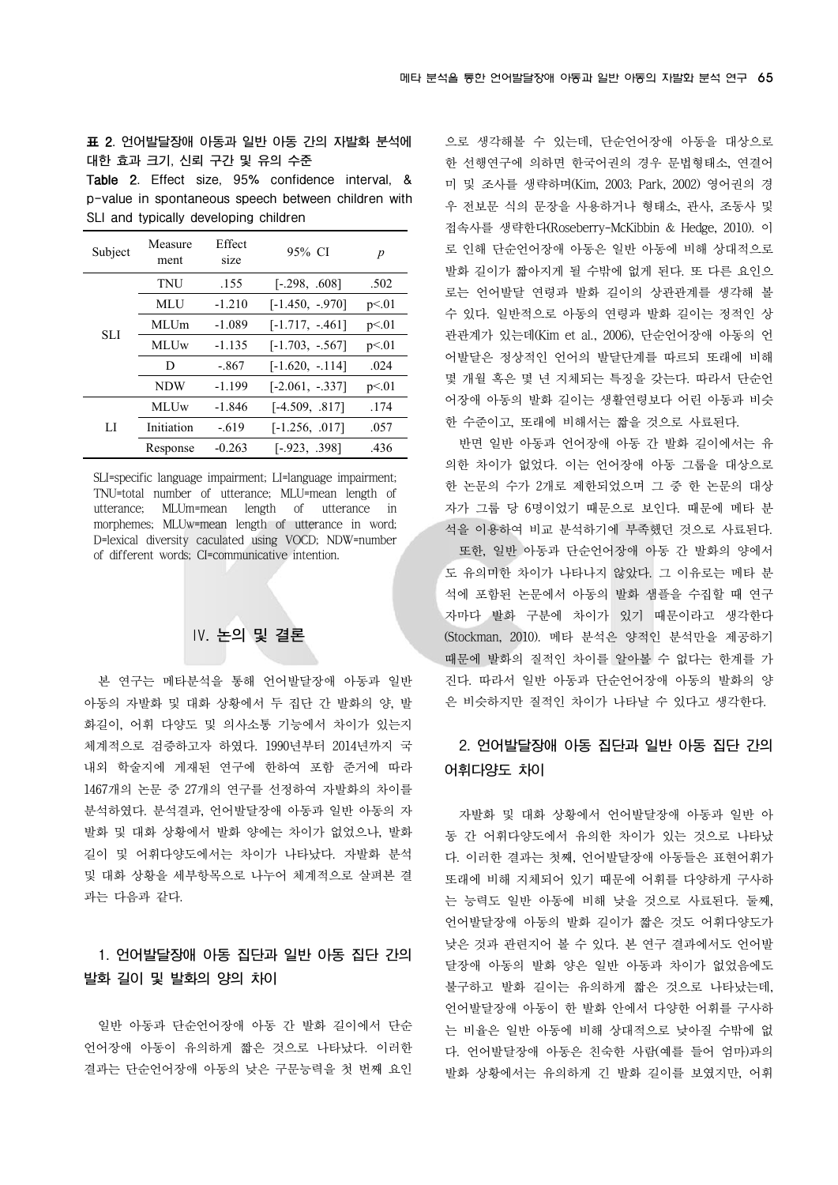표 2. 언어발달장애 아동과 일반 아동 간의 자발화 분석에 대한 효과 크기, 신뢰 구간 및 유의 수준

Table 2. Effect size, 95% confidence interval, & p-value in spontaneous speech between children with SLI and typically developing children

| Subject    | Measure<br>ment | Effect<br>size | 95% CI             | p     |
|------------|-----------------|----------------|--------------------|-------|
| <b>SLI</b> | TNU             | .155           | $[-.298, .608]$    | .502  |
|            | MLU             | $-1.210$       | $[-1.450, -970]$   | p<01  |
|            | MLUm            | $-1.089$       | $[-1.717, -461]$   | p<.01 |
|            | <b>MLUw</b>     | $-1.135$       | $[-1.703, -0.567]$ | p<.01 |
|            | D               | - 867          | $[-1.620, -114]$   | .024  |
|            | <b>NDW</b>      | $-1.199$       | $[-2.061, -337]$   | p<01  |
|            | <b>MLUw</b>     | $-1.846$       | $[-4.509, .817]$   | .174  |
| LI         | Initiation      | $-.619$        | $[-1.256, .017]$   | .057  |
|            | Response        | $-0.263$       | $[-.923, .398]$    | .436  |

SLI=specific language impairment; LI=language impairment; TNU=total number of utterance; MLU=mean length of utterance; MLUm=mean length of utterance in morphemes; MLUw=mean length of utterance in word; D=lexical diversity caculated using VOCD; NDW=number of different words; CI=communicative intention.

## Ⅳ. 논의 및 결론

본 연구는 메타분석을 통해 언어발달장애 아동과 일반 아동의 자발화 및 대화 상황에서 두 집단 간 발화의 양, 발 화길이, 어휘 다양도 및 의사소통 기능에서 차이가 있는지 체계적으로 검증하고자 하였다. 1990년부터 2014년까지 국 내외 학술지에 게재된 연구에 한하여 포함 준거에 따라 1467개의 논문 중 27개의 연구를 선정하여 자발화의 차이를 분석하였다. 분석결과, 언어발달장애 아동과 일반 아동의 자 발화 및 대화 상황에서 발화 양에는 차이가 없었으나, 발화 길이 및 어휘다양도에서는 차이가 나타났다. 자발화 분석 및 대화 상황을 세부항목으로 나누어 체계적으로 살펴본 결 과는 다음과 같다.

## 1. 언어발달장애 아동 집단과 일반 아동 집단 간의 발화 길이 및 발화의 양의 차이

일반 아동과 단순언어장애 아동 간 발화 길이에서 단순 언어장애 아동이 유의하게 짧은 것으로 나타났다. 이러한 결과는 단순언어장애 아동의 낮은 구문능력을 첫 번째 요인 으로 생각해볼 수 있는데, 단순언어장애 아동을 대상으로 한 선행연구에 의하면 한국어권의 경우 문법형태소, 연결어 미 및 조사를 생략하며(Kim, 2003; Park, 2002) 영어권의 경 우 전보문 식의 문장을 사용하거나 형태소, 관사, 조동사 및 접속사를 생략한다(Roseberry-McKibbin & Hedge, 2010). 이 로 인해 단순언어장애 아동은 일반 아동에 비해 상대적으로 발화 길이가 짧아지게 될 수밖에 없게 된다. 또 다른 요인으 로는 언어발달 연령과 발화 길이의 상관관계를 생각해 볼 수 있다. 일반적으로 아동의 연령과 발화 길이는 정적인 상 관관계가 있는데(Kim et al., 2006), 단순언어장애 아동의 언 어발달은 정상적인 언어의 발달단계를 따르되 또래에 비해 몇 개월 혹은 몇 년 지체되는 특징을 갖는다. 따라서 단순언 어장애 아동의 발화 길이는 생활연령보다 어린 아동과 비슷 한 수준이고, 또래에 비해서는 짧을 것으로 사료된다.

반면 일반 아동과 언어장애 아동 간 발화 길이에서는 유 의한 차이가 없었다. 이는 언어장애 아동 그룹을 대상으로 한 논문의 수가 2개로 제한되었으며 그 중 한 논문의 대상 자가 그룹 당 6명이었기 때문으로 보인다. 때문에 메타 분 석을 이용하여 비교 분석하기에 부족했던 것으로 사료된다. 또한, 일반 아동과 단순언어장애 아동 간 발화의 양에서 도 유의미한 차이가 나타나지 않았다. 그 이유로는 메타 분 석에 포함된 논문에서 아동의 발화 샘플을 수집할 때 연구 자마다 발화 구분에 차이가 있기 때문이라고 생각한다 (Stockman, 2010). 메타 분석은 양적인 분석만을 제공하기 때문에 발화의 질적인 차이를 알아볼 수 없다는 한계를 가 진다. 따라서 일반 아동과 단순언어장애 아동의 발화의 양 은 비슷하지만 질적인 차이가 나타날 수 있다고 생각한다.

## 2. 언어발달장애 아동 집단과 일반 아동 집단 간의 어휘다양도 차이

자발화 및 대화 상황에서 언어발달장애 아동과 일반 아 동 간 어휘다양도에서 유의한 차이가 있는 것으로 나타났 다. 이러한 결과는 첫째, 언어발달장애 아동들은 표현어휘가 또래에 비해 지체되어 있기 때문에 어휘를 다양하게 구사하 는 능력도 일반 아동에 비해 낮을 것으로 사료된다. 둘째, 언어발달장애 아동의 발화 길이가 짧은 것도 어휘다양도가 낮은 것과 관련지어 볼 수 있다. 본 연구 결과에서도 언어발 달장애 아동의 발화 양은 일반 아동과 차이가 없었음에도 불구하고 발화 길이는 유의하게 짧은 것으로 나타났는데, 언어발달장애 아동이 한 발화 안에서 다양한 어휘를 구사하 는 비율은 일반 아동에 비해 상대적으로 낮아질 수밖에 없 다. 언어발달장애 아동은 친숙한 사람(예를 들어 엄마)과의 발화 상황에서는 유의하게 긴 발화 길이를 보였지만, 어휘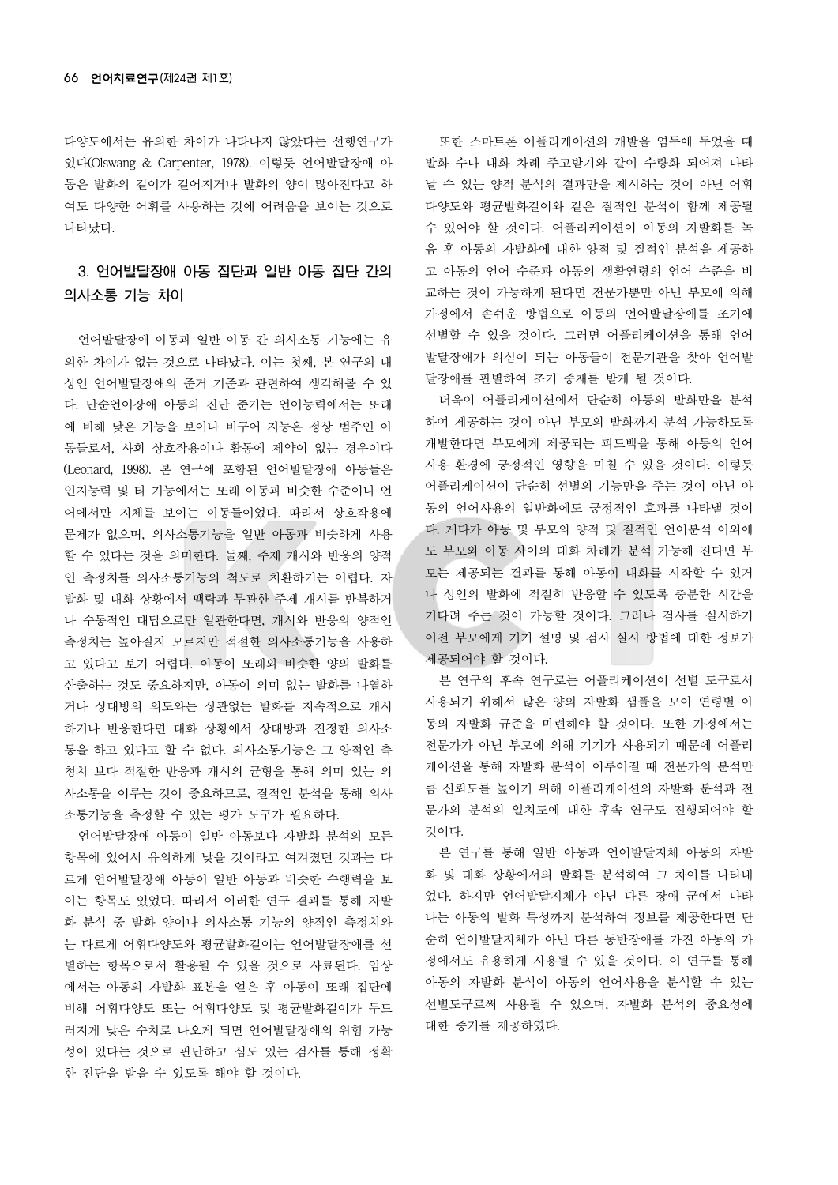다양도에서는 유의한 차이가 나타나지 않았다는 선행연구가 있다(Olswang & Carpenter, 1978). 이렇듯 언어발달장애 아 동은 발화의 길이가 길어지거나 발화의 양이 많아진다고 하 여도 다양한 어휘를 사용하는 것에 어려움을 보이는 것으로 나타났다.

## 3. 언어발달장애 아동 집단과 일반 아동 집단 간의 의사소통 기능 차이

언어발달장애 아동과 일반 아동 간 의사소통 기능에는 유 의한 차이가 없는 것으로 나타났다. 이는 첫째, 본 연구의 대 상인 언어발달장애의 준거 기준과 관련하여 생각해볼 수 있 다. 단순언어장애 아동의 진단 준거는 언어능력에서는 또래 에 비해 낮은 기능을 보이나 비구어 지능은 정상 범주인 아 동들로서, 사회 상호작용이나 활동에 제약이 없는 경우이다 (Leonard, 1998). 본 연구에 포함된 언어발달장애 아동들은 인지능력 및 타 기능에서는 또래 아동과 비슷한 수준이나 언 어에서만 지체를 보이는 아동들이었다. 따라서 상호작용에 문제가 없으며, 의사소통기능을 일반 아동과 비슷하게 사용 할 수 있다는 것을 의미한다. 둘째, 주제 개시와 반응의 양적 인 측정치를 의사소통기능의 척도로 치환하기는 어렵다. 자 발화 및 대화 상황에서 맥락과 무관한 주제 개시를 반복하거 나 수동적인 대답으로만 일관한다면, 개시와 반응의 양적인 측정치는 높아질지 모르지만 적절한 의사소통기능을 사용하 고 있다고 보기 어렵다. 아동이 또래와 비슷한 양의 발화를 산출하는 것도 중요하지만, 아동이 의미 없는 발화를 나열하 거나 상대방의 의도와는 상관없는 발화를 지속적으로 개시 하거나 반응한다면 대화 상황에서 상대방과 진정한 의사소 통을 하고 있다고 할 수 없다. 의사소통기능은 그 양적인 측 청치 보다 적절한 반응과 개시의 균형을 통해 의미 있는 의 사소통을 이루는 것이 중요하므로, 질적인 분석을 통해 의사 소통기능을 측정할 수 있는 평가 도구가 필요하다.

언어발달장애 아동이 일반 아동보다 자발화 분석의 모든 항목에 있어서 유의하게 낮을 것이라고 여겨졌던 것과는 다 르게 언어발달장애 아동이 일반 아동과 비슷한 수행력을 보 이는 항목도 있었다. 따라서 이러한 연구 결과를 통해 자발 화 분석 중 발화 양이나 의사소통 기능의 양적인 측정치와 는 다르게 어휘다양도와 평균발화길이는 언어발달장애를 선 별하는 항목으로서 활용될 수 있을 것으로 사료된다. 임상 에서는 아동의 자발화 표본을 얻은 후 아동이 또래 집단에 비해 어휘다양도 또는 어휘다양도 및 평균발화길이가 두드 러지게 낮은 수치로 나오게 되면 언어발달장애의 위험 가능 성이 있다는 것으로 판단하고 심도 있는 검사를 통해 정확 한 진단을 받을 수 있도록 해야 할 것이다.

또한 스마트폰 어플리케이션의 개발을 염두에 두었을 때 발화 수나 대화 차례 주고받기와 같이 수량화 되어져 나타 날 수 있는 양적 분석의 결과만을 제시하는 것이 아닌 어휘 다양도와 평균발화길이와 같은 질적인 분석이 함께 제공될 수 있어야 할 것이다. 어플리케이션이 아동의 자발화를 녹 음 후 아동의 자발화에 대한 양적 및 질적인 분석을 제공하 고 아동의 언어 수준과 아동의 생활연령의 언어 수준을 비 교하는 것이 가능하게 된다면 전문가뿐만 아닌 부모에 의해 가정에서 손쉬운 방법으로 아동의 언어발달장애를 조기에 선별할 수 있을 것이다. 그러면 어플리케이션을 통해 언어 발달장애가 의심이 되는 아동들이 전문기관을 찾아 언어발 달장애를 판별하여 조기 중재를 받게 될 것이다.

더욱이 어플리케이션에서 단순히 아동의 발화만을 분석 하여 제공하는 것이 아닌 부모의 발화까지 분석 가능하도록 개발한다면 부모에게 제공되는 피드백을 통해 아동의 언어 사용 환경에 긍정적인 영향을 미칠 수 있을 것이다. 이렇듯 어플리케이션이 단순히 선별의 기능만을 주는 것이 아닌 아 동의 언어사용의 일반화에도 긍정적인 효과를 나타낼 것이 다. 게다가 아동 및 부모의 양적 및 질적인 언어분석 이외에 도 부모와 아동 사이의 대화 차례가 분석 가능해 진다면 부 모는 제공되는 결과를 통해 아동이 대화를 시작할 수 있거 나 성인의 발화에 적절히 반응할 수 있도록 충분한 시간을 기다려 주는 것이 가능할 것이다. 그러나 검사를 실시하기 이전 부모에게 기기 설명 및 검사 실시 방법에 대한 정보가 제공되어야 할 것이다.

본 연구의 후속 연구로는 어플리케이션이 선별 도구로서 사용되기 위해서 많은 양의 자발화 샘플을 모아 연령별 아 동의 자발화 규준을 마련해야 할 것이다. 또한 가정에서는 전문가가 아닌 부모에 의해 기기가 사용되기 때문에 어플리 케이션을 통해 자발화 분석이 이루어질 때 전문가의 분석만 큼 신뢰도를 높이기 위해 어플리케이션의 자발화 분석과 전 문가의 분석의 일치도에 대한 후속 연구도 진행되어야 할 것이다.

본 연구를 통해 일반 아동과 언어발달지체 아동의 자발 화 및 대화 상황에서의 발화를 분석하여 그 차이를 나타내 었다. 하지만 언어발달지체가 아닌 다른 장애 군에서 나타 나는 아동의 발화 특성까지 분석하여 정보를 제공한다면 단 순히 언어발달지체가 아닌 다른 동반장애를 가진 아동의 가 정에서도 유용하게 사용될 수 있을 것이다. 이 연구를 통해 아동의 자발화 분석이 아동의 언어사용을 분석할 수 있는 선별도구로써 사용될 수 있으며, 자발화 분석의 중요성에 대한 증거를 제공하였다.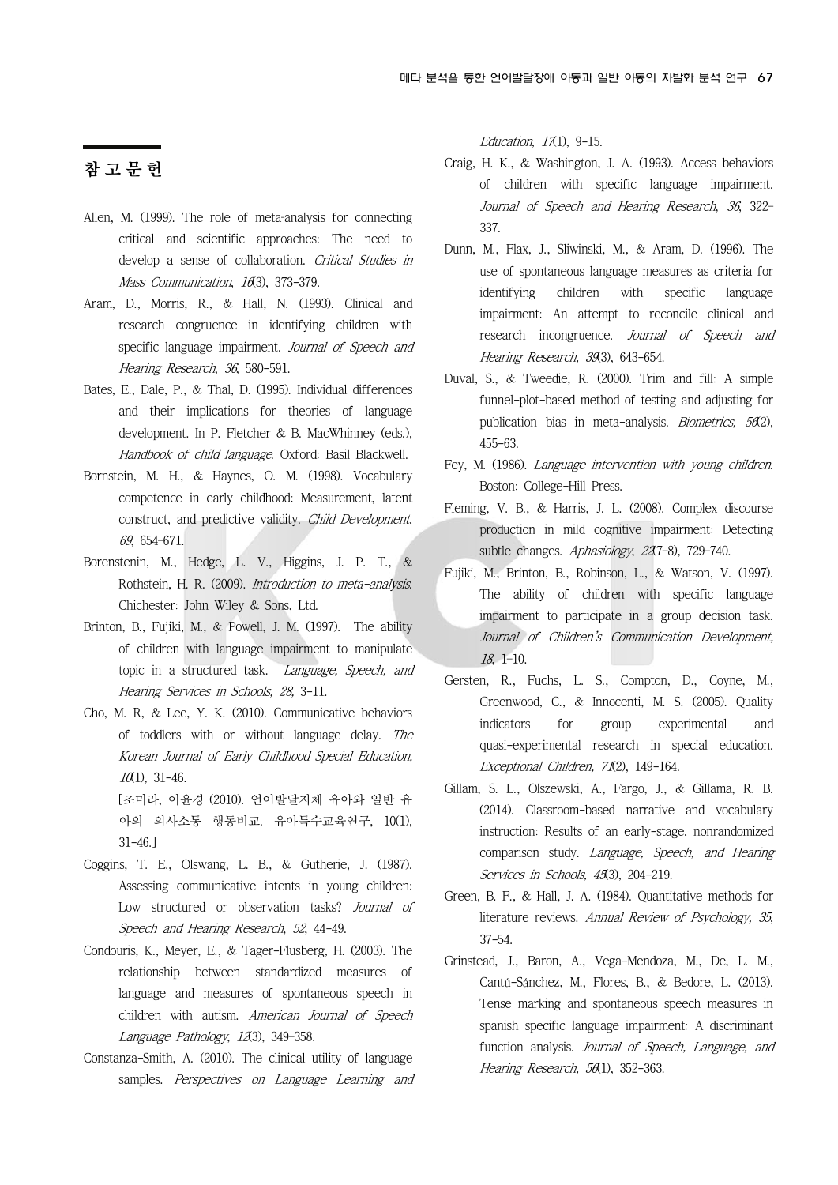## 참 고 문 헌

- Allen, M. (1999). The role of meta-analysis for connecting critical and scientific approaches: The need to develop a sense of collaboration. Critical Studies in Mass Communication, 16(3), 373-379.
- Aram, D., Morris, R., & Hall, N. (1993). Clinical and research congruence in identifying children with specific language impairment. Journal of Speech and Hearing Research, 36, 580-591.
- Bates, E., Dale, P., & Thal, D. (1995). Individual differences and their implications for theories of language development. In P. Fletcher & B. MacWhinney (eds.), Handbook of child language. Oxford: Basil Blackwell.
- Bornstein, M. H., & Haynes, O. M. (1998). Vocabulary competence in early childhood: Measurement, latent construct, and predictive validity. Child Development, 69, 654–671.
- Borenstenin, M., Hedge, L. V., Higgins, J. P. T., & Rothstein, H. R. (2009). Introduction to meta-analysis. Chichester: John Wiley & Sons, Ltd.
- Brinton, B., Fujiki, M., & Powell, J. M. (1997). The ability of children with language impairment to manipulate topic in a structured task. Language, Speech, and Hearing Services in Schools, 28, 3-11.
- Cho, M. R, & Lee, Y. K. (2010). Communicative behaviors of toddlers with or without language delay. The Korean Journal of Early Childhood Special Education,  $10(1)$ , 31-46. [조미라, 이윤경 (2010). 언어발달지체 유아와 일반 유 아의 의사소통 행동비교. 유아특수교육연구, 10(1), 31-46.]
- Coggins, T. E., Olswang, L. B., & Gutherie, J. (1987). Assessing communicative intents in young children: Low structured or observation tasks? *Journal of* Speech and Hearing Research, 52, 44-49.
- Condouris, K., Meyer, E., & Tager-Flusberg, H. (2003). The relationship between standardized measures of language and measures of spontaneous speech in children with autism. American Journal of Speech Language Pathology, 12(3), 349-358.
- Constanza-Smith, A. (2010). The clinical utility of language samples. Perspectives on Language Learning and

Education,  $17(1)$ ,  $9-15$ .

- Craig, H. K., & Washington, J. A. (1993). Access behaviors of children with specific language impairment. Journal of Speech and Hearing Research, 36, 322– 337.
- Dunn, M., Flax, J., Sliwinski, M., & Aram, D. (1996). The use of spontaneous language measures as criteria for identifying children with specific language impairment: An attempt to reconcile clinical and research incongruence. Journal of Speech and Hearing Research, 39(3), 643-654.
- Duval, S., & Tweedie, R. (2000). Trim and fill: A simple funnel-plot-based method of testing and adjusting for publication bias in meta-analysis. *Biometrics*,  $56(2)$ , 455-63.
- Fey, M. (1986). Language intervention with young children. Boston: College-Hill Press.
- Fleming, V. B., & Harris, J. L. (2008). Complex discourse production in mild cognitive impairment: Detecting subtle changes. Aphasiology, 22(7-8), 729-740.
- Fujiki, M., Brinton, B., Robinson, L., & Watson, V. (1997). The ability of children with specific language impairment to participate in a group decision task. Journal of Children's Communication Development, 18, 1–10.
- Gersten, R., Fuchs, L. S., Compton, D., Coyne, M., Greenwood, C., & Innocenti, M. S. (2005). Quality indicators for group experimental and quasi-experimental research in special education. Exceptional Children, 71(2), 149-164.
- Gillam, S. L., Olszewski, A., Fargo, J., & Gillama, R. B. (2014). Classroom-based narrative and vocabulary instruction: Results of an early-stage, nonrandomized comparison study. Language, Speech, and Hearing Services in Schools, 45(3), 204-219.
- Green, B. F., & Hall, J. A. (1984). Quantitative methods for literature reviews. Annual Review of Psychology, 35, 37-54.
- Grinstead, J., Baron, A., Vega-Mendoza, M., De, L. M., Cantú-Sánchez, M., Flores, B., & Bedore, L. (2013). Tense marking and spontaneous speech measures in spanish specific language impairment: A discriminant function analysis. Journal of Speech, Language, and Hearing Research, 56(1), 352-363.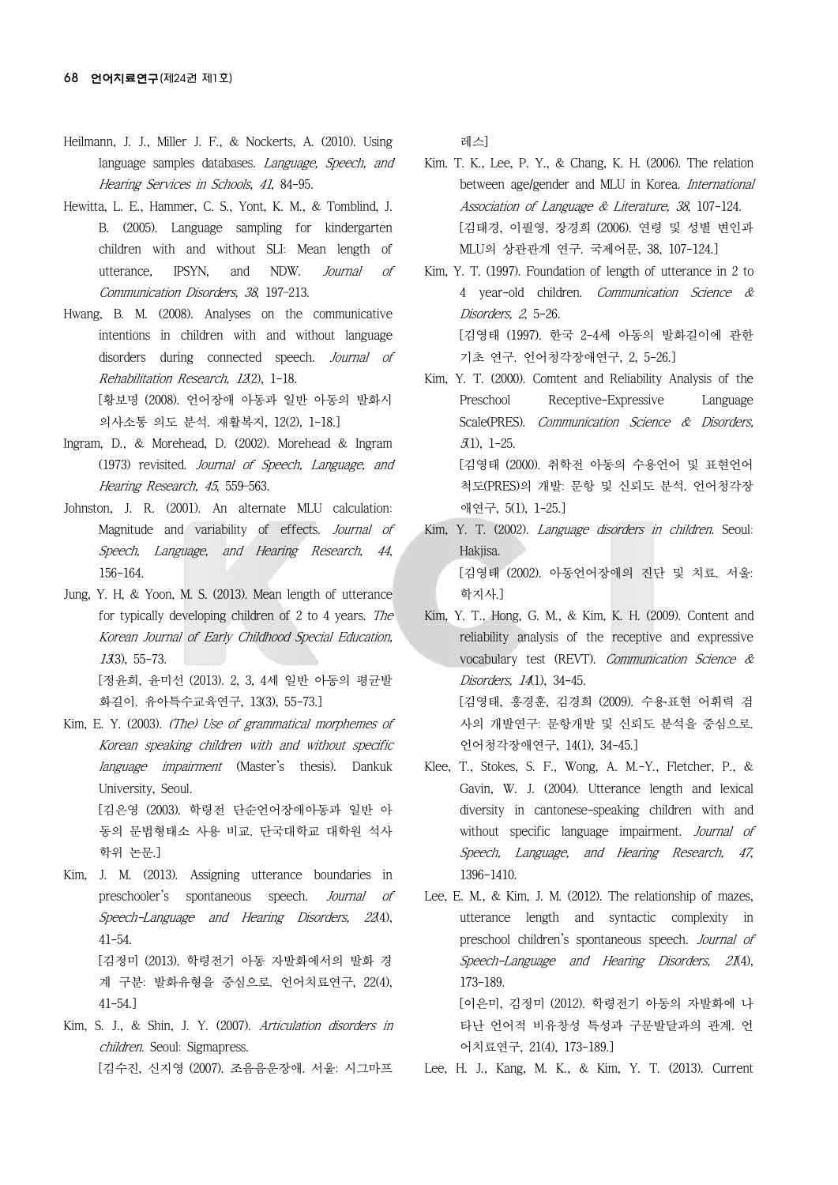- Heilmann, J. J., Miller J. F., & Nockerts, A. (2010). Using language samples databases. *Language, Speech, and* Hearing Services in Schools, 41, 84-95.
- Hewitta, L. E., Hammer, C. S., Yont, K. M., & Tomblind, J. B. (2005). Language sampling for kindergarten children with and without SLI: Mean length of utterance, IPSYN, and NDW. Journal of Communication Disorders, 38, 197–213.
- Hwang, B. M. (2008). Analyses on the communicative intentions in children with and without language disorders during connected speech. Journal of Rehabilitation Research, 12(2), 1-18. [황보명 (2008). 언어장애 아동과 일반 아동의 발화시

의사소통 의도 분석. 재활복지, 12(2), 1-18.]

- Ingram, D., & Morehead, D. (2002). Morehead & Ingram (1973) revisited. Journal of Speech, Language, and Hearing Research, 45, 559–563.
- Johnston, J. R. (2001). An alternate MLU calculation: Magnitude and variability of effects. Journal of Speech, Language, and Hearing Research, 44, 156-164.
- Jung, Y. H, & Yoon, M. S. (2013). Mean length of utterance for typically developing children of 2 to 4 years. The Korean Journal of Early Childhood Special Education,  $13(3)$ , 55-73. [정윤희, 윤미선 (2013). 2, 3, 4세 일반 아동의 평균발 화길이. 유아특수교육연구, 13(3), 55-73.]
- Kim, E. Y. (2003). (The) Use of grammatical morphemes of Korean speaking children with and without specific language impairment (Master's thesis). Dankuk University, Seoul. [김은영 (2003). 학령전 단순언어장애아동과 일반 아 동의 문법형태소 사용 비교. 단국대학교 대학원 석사 학위 논문.]
- Kim, J. M. (2013). Assigning utterance boundaries in preschooler's spontaneous speech. Journal of Speech-Language and Hearing Disorders, 22(4), 41-54. [김정미 (2013). 학령전기 아동 자발화에서의 발화 경 계 구분: 발화유형을 중심으로. 언어치료연구, 22(4), 41-54.]
- Kim, S. J., & Shin, J. Y. (2007). Articulation disorders in children. Seoul: Sigmapress. [김수진, 신지영 (2007). 조음음운장애. 서울: 시그마프

레스]

Kim. T. K., Lee, P. Y., & Chang, K. H. (2006). The relation between age/gender and MLU in Korea. *International* Association of Language & Literature, 38, 107-124. [김태경, 이필영, 장경희 (2006). 연령 및 성별 변인과 MLU의 상관관계 연구. 국제어문, 38, 107-124.]

Kim, Y. T. (1997). Foundation of length of utterance in 2 to 4 year-old children. Communication Science & Disorders, 2, 5-26. [김영태 (1997). 한국 2-4세 아동의 발화길이에 관한 기초 연구. 언어청각장애연구, 2, 5-26.]

Kim, Y. T. (2000). Comtent and Reliability Analysis of the Preschool Receptive-Expressive Language Scale(PRES). Communication Science & Disorders, 5(1), 1-25. [김영태 (2000). 취학전 아동의 수용언어 및 표현언어 척도(PRES)의 개발: 문항 및 신뢰도 분석. 언어청각장 애연구, 5(1), 1-25.]

- Kim, Y. T. (2002). Language disorders in children. Seoul: Hakjisa. [김영태 (2002). 아동언어장애의 진단 및 치료. 서울: 학지사.]
- Kim, Y. T., Hong, G. M., & Kim, K. H. (2009). Content and reliability analysis of the receptive and expressive vocabulary test (REVT). Communication Science & Disorders, 141), 34-45. [김영태, 홍경훈, 김경희 (2009). 수용․표현 어휘력 검 사의 개발연구: 문항개발 및 신뢰도 분석을 중심으로. 언어청각장애연구, 14(1), 34-45.]
- Klee, T., Stokes, S. F., Wong, A. M.-Y., Fletcher, P., & Gavin, W. J. (2004). Utterance length and lexical diversity in cantonese-speaking children with and without specific language impairment. Journal of Speech, Language, and Hearing Research, 47, 1396-1410.
- Lee, E. M., & Kim, J. M. (2012). The relationship of mazes, utterance length and syntactic complexity in preschool children's spontaneous speech. Journal of Speech-Language and Hearing Disorders, 21(4), 173-189. [이은미, 김정미 (2012). 학령전기 아동의 자발화에 나 타난 언어적 비유창성 특성과 구문발달과의 관계. 언 어치료연구, 21(4), 173-189.]

Lee, H. J., Kang, M. K., & Kim, Y. T. (2013). Current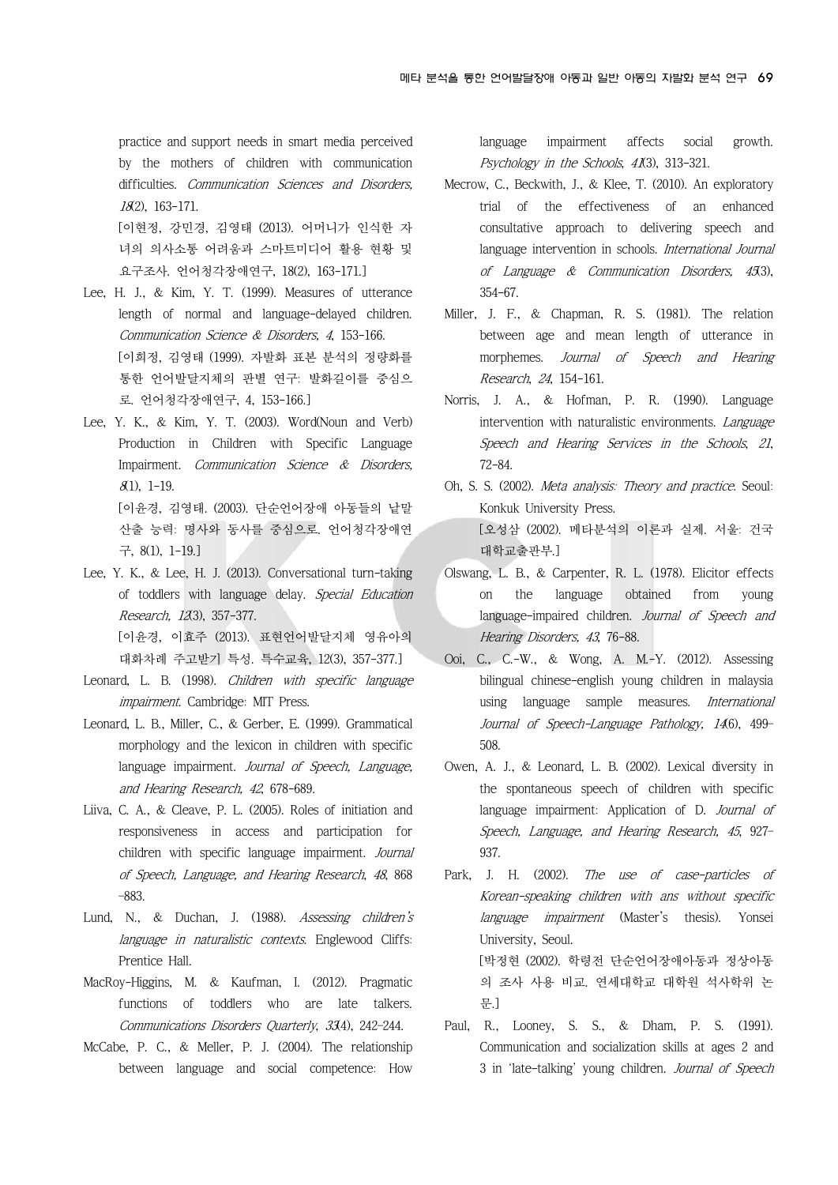practice and support needs in smart media perceived by the mothers of children with communication difficulties. Communication Sciences and Disorders, 18(2), 163-171. [이현정, 강민경, 김영태 (2013). 어머니가 인식한 자

녀의 의사소통 어려움과 스마트미디어 활용 현황 및 요구조사. 언어청각장애연구, 18(2), 163-171.]

- Lee, H. J., & Kim, Y. T. (1999). Measures of utterance length of normal and language-delayed children. Communication Science & Disorders, 4, 153-166. [이희정, 김영태 (1999). 자발화 표본 분석의 정량화를 통한 언어발달지체의 판별 연구: 발화길이를 중심으 로. 언어청각장애연구, 4, 153-166.]
- Lee, Y. K., & Kim, Y. T. (2003). Word(Noun and Verb) Production in Children with Specific Language Impairment. Communication Science & Disorders,  $(81)$ , 1-19. [이윤경, 김영태. (2003). 단순언어장애 아동들의 낱말 산출 능력: 명사와 동사를 중심으로. 언어청각장애연 구, 8(1), 1-19.]
- Lee, Y. K., & Lee, H. J. (2013). Conversational turn-taking of toddlers with language delay. Special Education Research, 12(3), 357-377. [이윤경, 이효주 (2013). 표현언어발달지체 영유아의 대화차례 주고받기 특성. 특수교육, 12(3), 357-377.]
- Leonard, L. B. (1998). Children with specific language impairment. Cambridge: MIT Press.
- Leonard, L. B., Miller, C., & Gerber, E. (1999). Grammatical morphology and the lexicon in children with specific language impairment. Journal of Speech, Language, and Hearing Research, 42, 678-689.
- Liiva, C. A., & Cleave, P. L. (2005). Roles of initiation and responsiveness in access and participation for children with specific language impairment. Journal of Speech, Language, and Hearing Research, 48, 868 –883.
- Lund, N., & Duchan, J. (1988). Assessing children's language in naturalistic contexts. Englewood Cliffs: Prentice Hall.
- MacRoy-Higgins, M. & Kaufman, I. (2012). Pragmatic functions of toddlers who are late talkers. Communications Disorders Quarterly, 33(4), 242–244.
- McCabe, P. C., & Meller, P. J. (2004). The relationship between language and social competence: How

language impairment affects social growth. Psychology in the Schools, 41(3), 313-321.

- Mecrow, C., Beckwith, J., & Klee, T. (2010). An exploratory trial of the effectiveness of an enhanced consultative approach to delivering speech and language intervention in schools. International Journal of Language  $\&$  Communication Disorders, 453), 354-67.
- Miller, J. F., & Chapman, R. S. (1981). The relation between age and mean length of utterance in morphemes. Journal of Speech and Hearing Research, 24, 154-161.
- Norris, J. A., & Hofman, P. R. (1990). Language intervention with naturalistic environments. Language Speech and Hearing Services in the Schools, 21, 72-84.
- Oh, S. S. (2002). Meta analysis: Theory and practice. Seoul: Konkuk University Press. [오성삼 (2002). 메타분석의 이론과 실제. 서울: 건국 대학교출판부.]
- Olswang, L. B., & Carpenter, R. L. (1978). Elicitor effects on the language obtained from young language-impaired children. Journal of Speech and Hearing Disorders, 43, 76-88.
- Ooi, C., C.-W., & Wong, A. M.-Y. (2012). Assessing bilingual chinese-english young children in malaysia using language sample measures. International Journal of Speech-Language Pathology, 146), 499-508.
- Owen, A. J., & Leonard, L. B. (2002). Lexical diversity in the spontaneous speech of children with specific language impairment: Application of D. Journal of Speech, Language, and Hearing Research, 45, 927– 937.
- Park, J. H. (2002). The use of case-particles of Korean-speaking children with ans without specific language impairment (Master's thesis). Yonsei University, Seoul. [박정현 (2002). 학령전 단순언어장애아동과 정상아동 의 조사 사용 비교. 연세대학교 대학원 석사학위 논 문.]
- Paul, R., Looney, S. S., & Dham, P. S. (1991). Communication and socialization skills at ages 2 and 3 in 'late-talking' young children. Journal of Speech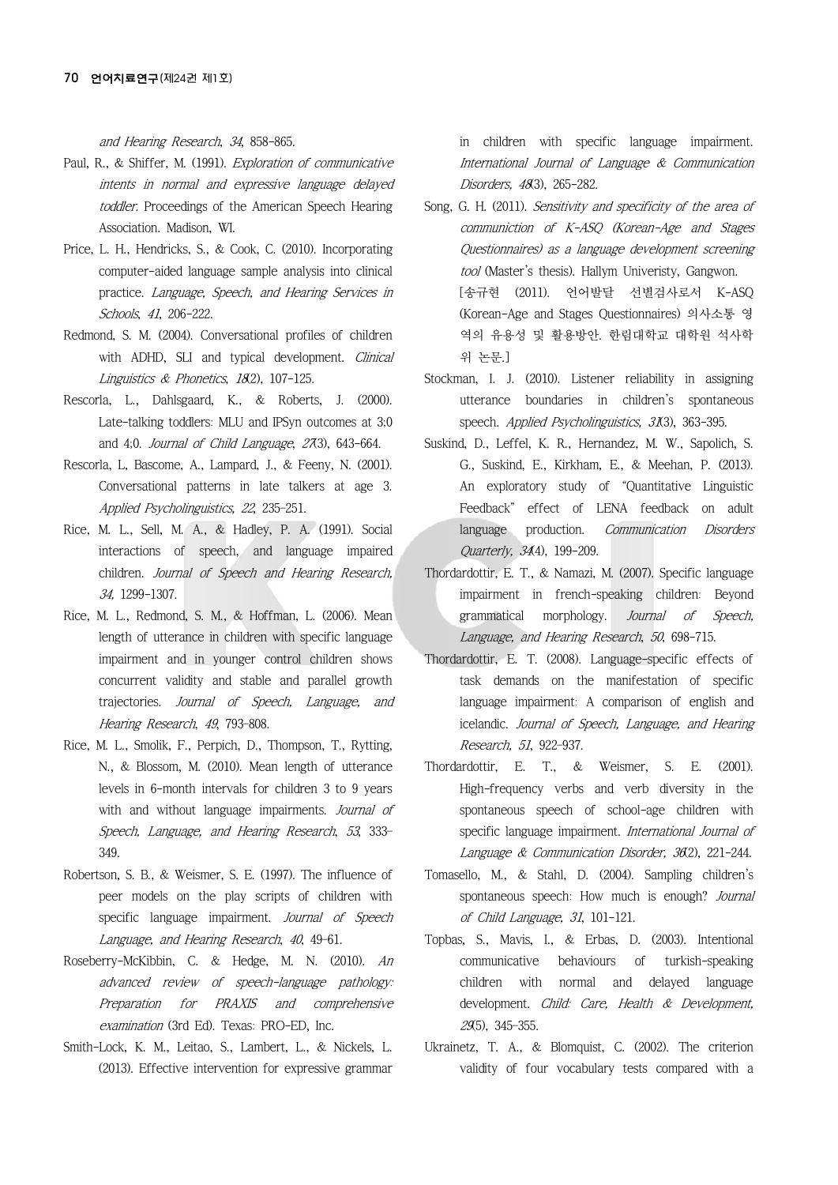and Hearing Research, 34, 858-865.

- Paul, R., & Shiffer, M. (1991). Exploration of communicative intents in normal and expressive language delayed toddler. Proceedings of the American Speech Hearing Association. Madison, WI.
- Price, L. H., Hendricks, S., & Cook, C. (2010). Incorporating computer-aided language sample analysis into clinical practice. Language, Speech, and Hearing Services in Schools, 41, 206-222.
- Redmond, S. M. (2004). Conversational profiles of children with ADHD, SLI and typical development. Clinical Linguistics & Phonetics, 18(2), 107-125.
- Rescorla, L., Dahlsgaard, K., & Roberts, J. (2000). Late-talking toddlers: MLU and IPSyn outcomes at 3;0 and 4;0. Journal of Child Language, 27(3), 643-664.
- Rescorla, L, Bascome, A., Lampard, J., & Feeny, N. (2001). Conversational patterns in late talkers at age 3. Applied Psycholinguistics, 22, 235–251.
- Rice, M. L., Sell, M. A., & Hadley, P. A. (1991). Social interactions of speech, and language impaired children. Journal of Speech and Hearing Research, 34, 1299-1307.
- Rice, M. L., Redmond, S. M., & Hoffman, L. (2006). Mean length of utterance in children with specific language impairment and in younger control children shows concurrent validity and stable and parallel growth trajectories. Journal of Speech, Language, and Hearing Research, 49, 793–808.
- Rice, M. L., Smolik, F., Perpich, D., Thompson, T., Rytting, N., & Blossom, M. (2010). Mean length of utterance levels in 6-month intervals for children 3 to 9 years with and without language impairments. Journal of Speech, Language, and Hearing Research, 53, 333– 349.
- Robertson, S. B., & Weismer, S. E. (1997). The influence of peer models on the play scripts of children with specific language impairment. Journal of Speech Language, and Hearing Research, 40, 49–61.
- Roseberry-McKibbin, C. & Hedge, M. N. (2010). An advanced review of speech-language pathology: Preparation for PRAXIS and comprehensive examination (3rd Ed). Texas: PRO-ED, Inc.
- Smith-Lock, K. M., Leitao, S., Lambert, L., & Nickels, L. (2013). Effective intervention for expressive grammar

in children with specific language impairment. International Journal of Language & Communication Disorders, 48(3), 265-282.

- Song, G. H. (2011). Sensitivity and specificity of the area of communiction of K-ASQ (Korean-Age and Stages Questionnaires) as a language development screening tool (Master's thesis). Hallym Univeristy, Gangwon. [송규현 (2011). 언어발달 선별검사로서 K-ASQ (Korean-Age and Stages Questionnaires) 의사소통 영 역의 유용성 및 활용방안. 한림대학교 대학원 석사학 위 논문.]
- Stockman, I. J. (2010). Listener reliability in assigning utterance boundaries in children's spontaneous speech. Applied Psycholinguistics, 31(3), 363-395.
- Suskind, D., Leffel, K. R., Hernandez, M. W., Sapolich, S. G., Suskind, E., Kirkham, E., & Meehan, P. (2013). An exploratory study of "Quantitative Linguistic Feedback" effect of LENA feedback on adult language production. Communication Disorders Quarterly, 344), 199-209.
- Thordardottir, E. T., & Namazi, M. (2007). Specific language impairment in french-speaking children: Beyond grammatical morphology. Journal of Speech, Language, and Hearing Research, 50, 698-715.
- Thordardottir, E. T. (2008). Language-specific effects of task demands on the manifestation of specific language impairment: A comparison of english and icelandic. Journal of Speech, Language, and Hearing Research, 51, 922–937.
- Thordardottir, E. T., & Weismer, S. E. (2001). High-frequency verbs and verb diversity in the spontaneous speech of school-age children with specific language impairment. International Journal of Language & Communication Disorder, 36(2), 221-244.
- Tomasello, M., & Stahl, D. (2004). Sampling children's spontaneous speech: How much is enough? Journal of Child Language, 31, 101-121.
- Topbas, S., Mavis, I., & Erbas, D. (2003). Intentional communicative behaviours of turkish-speaking children with normal and delayed language development. Child: Care, Health & Development, 29(5), 345–355.
- Ukrainetz, T. A., & Blomquist, C. (2002). The criterion validity of four vocabulary tests compared with a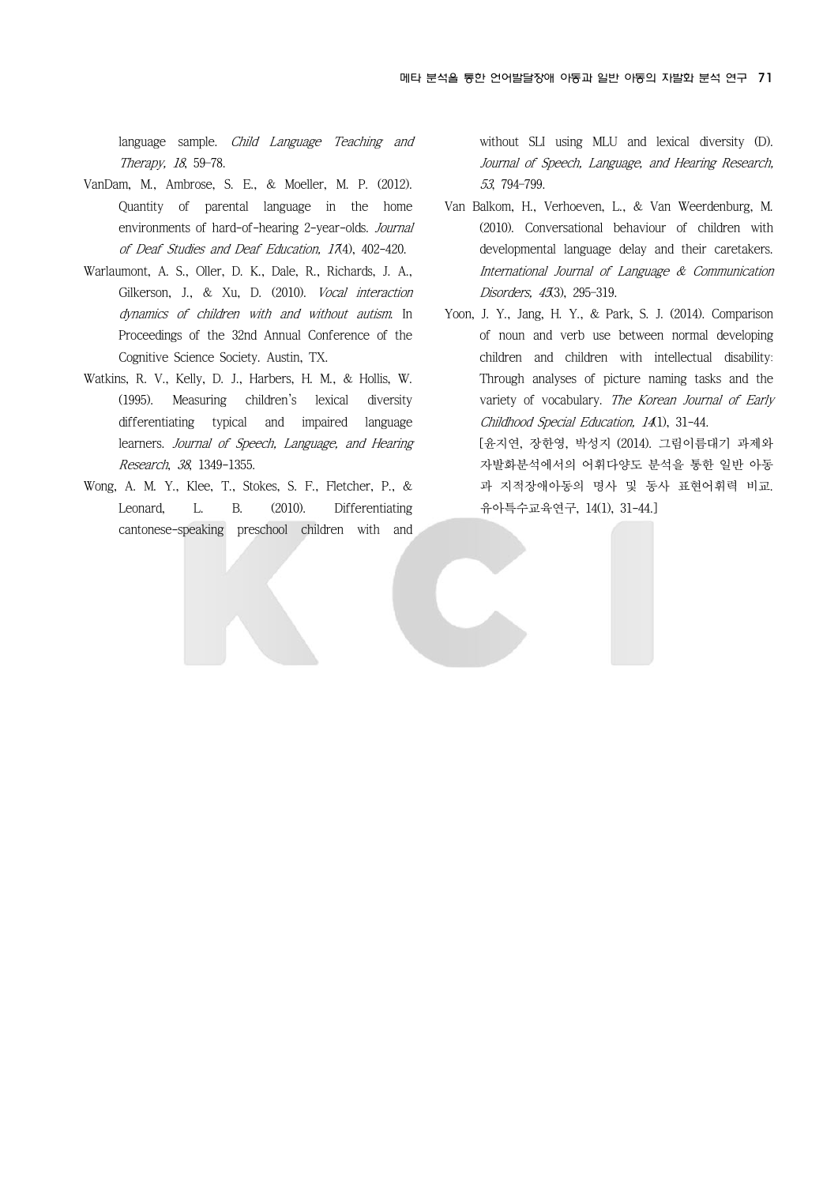language sample. Child Language Teaching and Therapy, 18, 59–78.

- VanDam, M., Ambrose, S. E., & Moeller, M. P. (2012). Quantity of parental language in the home environments of hard-of-hearing 2-year-olds. Journal of Deaf Studies and Deaf Education, 174), 402-420.
- Warlaumont, A. S., Oller, D. K., Dale, R., Richards, J. A., Gilkerson, J., & Xu, D. (2010). *Vocal interaction* dynamics of children with and without autism. In Proceedings of the 32nd Annual Conference of the Cognitive Science Society. Austin, TX.
- Watkins, R. V., Kelly, D. J., Harbers, H. M., & Hollis, W. (1995). Measuring children's lexical diversity differentiating typical and impaired language learners. Journal of Speech, Language, and Hearing Research, 38, 1349-1355.
- Wong, A. M. Y., Klee, T., Stokes, S. F., Fletcher, P., & Leonard, L. B. (2010). Differentiating cantonese-speaking preschool children with and

without SLI using MLU and lexical diversity (D). Journal of Speech, Language, and Hearing Research, 53, 794–799.

- Van Balkom, H., Verhoeven, L., & Van Weerdenburg, M. (2010). Conversational behaviour of children with developmental language delay and their caretakers. International Journal of Language & Communication Disorders, 45(3), 295-319.
- Yoon, J. Y., Jang, H. Y., & Park, S. J. (2014). Comparison of noun and verb use between normal developing children and children with intellectual disability: Through analyses of picture naming tasks and the variety of vocabulary. The Korean Journal of Early Childhood Special Education, 14(1), 31-44.

[윤지연, 장한영, 박성지 (2014). 그림이름대기 과제와 자발화분석에서의 어휘다양도 분석을 통한 일반 아동 과 지적장애아동의 명사 및 동사 표현어휘력 비교. 유아특수교육연구, 14(1), 31-44.]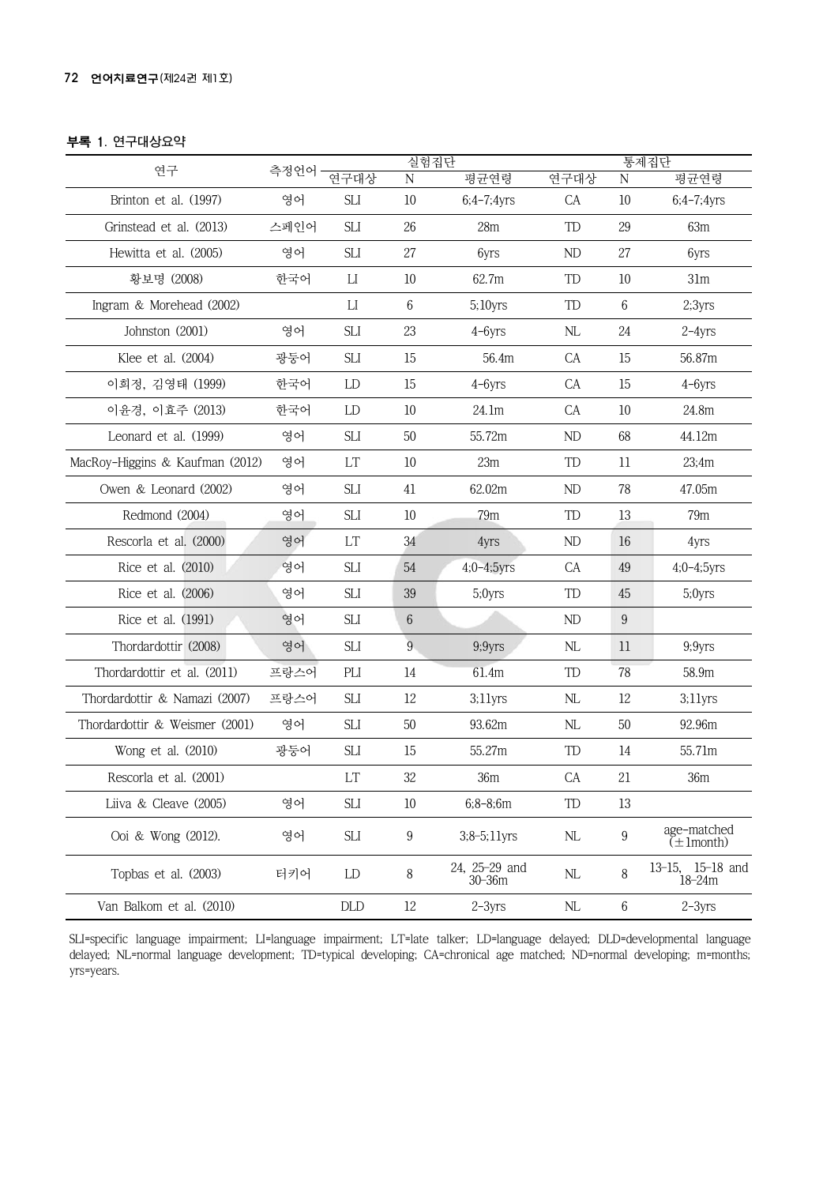### 부록 1. 연구대상요약

|                                 |       |            |                 | 실험집단                        |            | 통제집단             |                                |  |  |
|---------------------------------|-------|------------|-----------------|-----------------------------|------------|------------------|--------------------------------|--|--|
| 연구                              | 측정언어· | 연구대상       | N               | 평균연령                        | 연구대상       | N                | 평균연령                           |  |  |
| Brinton et al. (1997)           | 영어    | <b>SLI</b> | $10\,$          | $6;4-7;4yrs$                | CA         | $10$             | $6;4-7;4yrs$                   |  |  |
| Grinstead et al. (2013)         | 스페인어  | <b>SLI</b> | 26              | 28m                         | TD         | 29               | 63m                            |  |  |
| Hewitta et al. (2005)           | 영어    | SLI        | 27              | 6yrs                        | ${\rm ND}$ | 27               | 6yrs                           |  |  |
| 황보명 (2008)                      | 한국어   | П          | $10\,$          | 62.7m                       | TD         | $10\,$           | 31m                            |  |  |
| Ingram & Morehead (2002)        |       | П          | $6\,$           | 5;10yrs                     | TD         | $6\phantom{.}6$  | 2:3yrs                         |  |  |
| Johnston (2001)                 | 영어    | <b>SLI</b> | 23              | $4 - 6yrs$                  | NL         | 24               | $2-4yrs$                       |  |  |
| Klee et al. (2004)              | 광둥어   | <b>SLI</b> | $15\,$          | 56.4m                       | CA         | 15               | 56.87m                         |  |  |
| 이희정, 김영태 (1999)                 | 한국어   | LD         | $15\,$          | $4 - 6yrs$                  | CA         | 15               | $4 - 6yrs$                     |  |  |
| 이윤경, 이효주 (2013)                 | 한국어   | LD         | $10$            | 24.1m                       | CA         | $10$             | 24.8m                          |  |  |
| Leonard et al. (1999)           | 영어    | <b>SLI</b> | 50              | 55.72m                      | ND         | 68               | 44.12m                         |  |  |
| MacRoy-Higgins & Kaufman (2012) | 영어    | LT         | $10$            | 23m                         | TD         | $11\,$           | 23:4m                          |  |  |
| Owen & Leonard (2002)           | 영어    | <b>SLI</b> | 41              | 62.02m                      | ND         | 78               | 47.05m                         |  |  |
| Redmond (2004)                  | 영어    | SЫ         | $10\,$          | 79 <sub>m</sub>             | TD         | 13               | 79 <sub>m</sub>                |  |  |
| Rescorla et al. (2000)          | 영어    | LT         | 34              | 4yrs                        | ND         | 16               | 4yrs                           |  |  |
| Rice et al. (2010)              | 영어    | SLI        | $54\,$          | $4;0 - 4;5yrs$              | CA         | 49               | $4;0 - 4;5$ yrs                |  |  |
| Rice et al. (2006)              | 영어    | <b>SLI</b> | 39              | 5;0yrs                      | TD         | 45               | 5;0yrs                         |  |  |
| Rice et al. (1991)              | 영어    | <b>SLI</b> | $6\phantom{.}6$ |                             | ND         | $\boldsymbol{9}$ |                                |  |  |
| Thordardottir (2008)            | 영어    | <b>SLI</b> | $\overline{9}$  | 9;9yrs                      | NL         | 11               | 9;9yrs                         |  |  |
| Thordardottir et al. (2011)     | 프랑스어  | PLI        | $14\,$          | 61.4m                       | TD         | 78               | 58.9m                          |  |  |
| Thordardottir & Namazi (2007)   | 프랑스어  | SLI        | 12              | $3;11$ yrs                  | NL         | 12               | $3:11$ yrs                     |  |  |
| Thordardottir & Weismer (2001)  | 영어    | <b>SLI</b> | $50\,$          | 93.62m                      | NL         | 50               | 92.96m                         |  |  |
| Wong et al. (2010)              | 광둥어   | SЦ         | 15              | 55.27m                      | TD         | 14               | 55.71m                         |  |  |
| Rescorla et al. (2001)          |       | LT         | $32\,$          | 36m                         | CA         | 21               | 36m                            |  |  |
| Liiva & Cleave (2005)           | 영어    | <b>SLI</b> | $10\,$          | $6;8-8;6m$                  | TD         | 13               |                                |  |  |
| Ooi & Wong (2012).              | 영어    | SLI        | 9               | $3;8-5;11$ yrs              | NL         | $\boldsymbol{9}$ | age-matched<br>$(\pm 1$ month) |  |  |
| Topbas et al. (2003)            | 터키어   | LD         | 8               | 24, 25-29 and<br>$30 - 36m$ | NL         | 8                | 13-15, 15-18 and<br>$18 - 24m$ |  |  |
| Van Balkom et al. (2010)        |       | DLD        | 12              | $2-3yrs$                    | NL         | $\,6$            | $2-3yrs$                       |  |  |

SLI=specific language impairment; LI=language impairment; LT=late talker; LD=language delayed; DLD=developmental language delayed; NL=normal language development; TD=typical developing; CA=chronical age matched; ND=normal developing; m=months; yrs=years.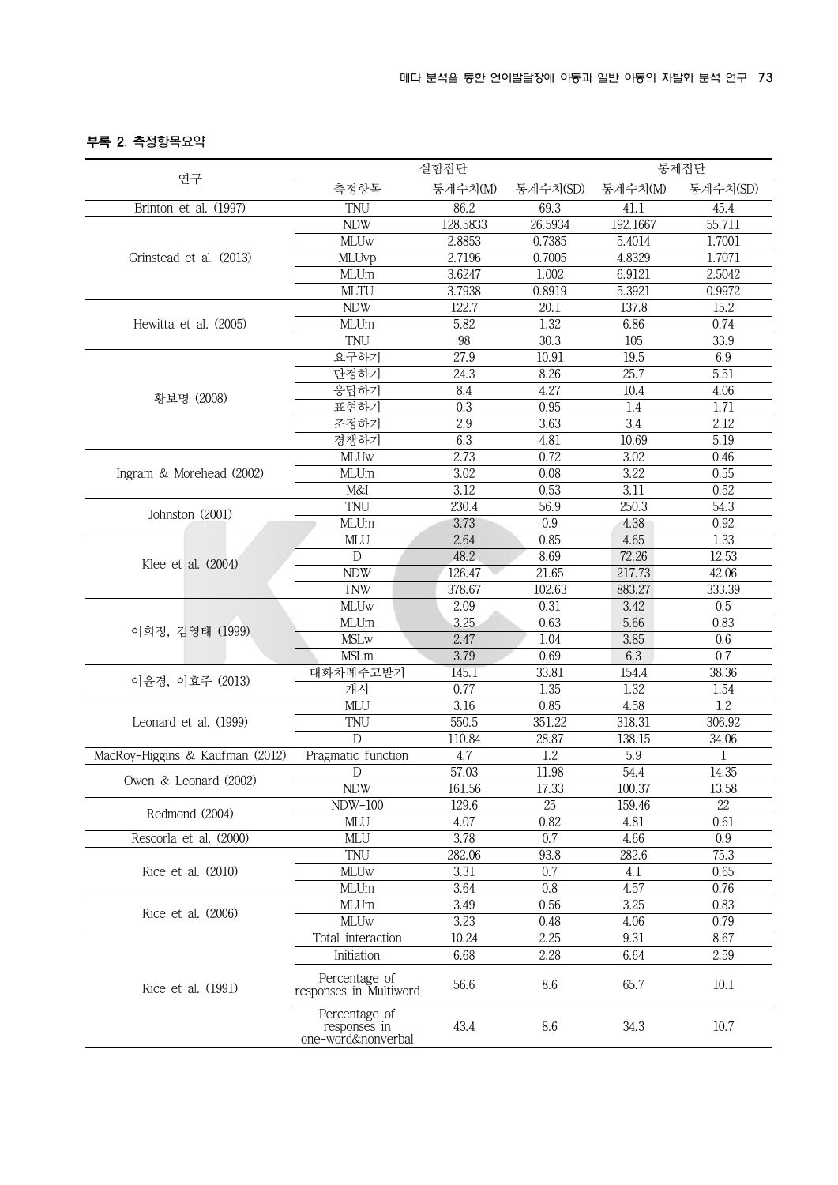## 부록 2. 측정항목요약

|                                 |                                                     | 실험집단     |          | 통제집단     |                  |  |  |
|---------------------------------|-----------------------------------------------------|----------|----------|----------|------------------|--|--|
| 연구                              | 측정항목                                                | 통계수치(M)  | 통계수치(SD) | 통계수치(M)  | 통계수치(SD)         |  |  |
| Brinton et al. (1997)           | TNU                                                 | 86.2     | 69.3     | 41.1     | 45.4             |  |  |
|                                 | <b>NDW</b>                                          | 128.5833 | 26.5934  | 192.1667 | 55.711           |  |  |
|                                 | <b>MLUw</b>                                         | 2.8853   | 0.7385   | 5.4014   | 1.7001           |  |  |
| Grinstead et al. (2013)         | MLUvp                                               | 2.7196   | 0.7005   | 4.8329   | 1.7071           |  |  |
|                                 | <b>MLUm</b>                                         | 3.6247   | 1.002    | 6.9121   | 2.5042           |  |  |
|                                 | <b>MLTU</b>                                         | 3.7938   | 0.8919   | 5.3921   | 0.9972           |  |  |
|                                 | <b>NDW</b>                                          | 122.7    | 20.1     | 137.8    | 15.2             |  |  |
| Hewitta et al. (2005)           | <b>MLUm</b>                                         | 5.82     | 1.32     | 6.86     | 0.74             |  |  |
|                                 | TNU                                                 | 98       | 30.3     | 105      | 33.9             |  |  |
|                                 | 요구하기                                                | 27.9     | 10.91    | 19.5     | 6.9              |  |  |
|                                 | 단정하기                                                | 24.3     | 8.26     | 25.7     | 5.51             |  |  |
|                                 | 응답하기                                                | 8.4      | 4.27     | 10.4     | 4.06             |  |  |
| 황보명 (2008)                      | 표현하기                                                | 0.3      | 0.95     | 1.4      | 1.71             |  |  |
|                                 | 조정하기                                                | 2.9      | 3.63     | 3.4      | 2.12             |  |  |
|                                 | 경쟁하기                                                | 6.3      | 4.81     | 10.69    | 5.19             |  |  |
|                                 | <b>MLUw</b>                                         | 2.73     | 0.72     | 3.02     | 0.46             |  |  |
| Ingram & Morehead (2002)        | <b>MLUm</b>                                         | 3.02     | 0.08     | 3.22     | 0.55             |  |  |
|                                 | M&I                                                 | 3.12     | 0.53     | 3.11     | 0.52             |  |  |
|                                 | TNU                                                 | 230.4    | 56.9     | 250.3    | 54.3             |  |  |
| Johnston (2001)                 | <b>MLUm</b>                                         | 3.73     | 0.9      | 4.38     | 0.92             |  |  |
|                                 | MLU                                                 | 2.64     | 0.85     | 4.65     | 1.33             |  |  |
|                                 | ${\mathbb D}$                                       | 48.2     | 8.69     | 72.26    | 12.53            |  |  |
| Klee et al. (2004)              | <b>NDW</b>                                          | 126.47   | 21.65    | 217.73   | 42.06            |  |  |
|                                 | <b>TNW</b>                                          | 378.67   | 102.63   | 883.27   | 333.39           |  |  |
|                                 | <b>MLUw</b>                                         | 2.09     | 0.31     | 3.42     | 0.5              |  |  |
|                                 | MLUm                                                | 3.25     | 0.63     | 5.66     | 0.83             |  |  |
| 이희정, 김영태 (1999)                 | <b>MSLw</b>                                         | 2.47     | 1.04     | 3.85     | 0.6              |  |  |
|                                 | <b>MSLm</b>                                         | 3.79     | 0.69     | 6.3      | 0.7              |  |  |
|                                 | 대화차례주고받기                                            | 145.1    | 33.81    | 154.4    | 38.36            |  |  |
| 이윤경, 이효주 (2013)                 | 개시                                                  | 0.77     | 1.35     | 1.32     | 1.54             |  |  |
|                                 | MLU                                                 | 3.16     | 0.85     | 4.58     | $\overline{1.2}$ |  |  |
| Leonard et al. (1999)           | TNU                                                 | 550.5    | 351.22   | 318.31   | 306.92           |  |  |
|                                 | D                                                   | 110.84   | 28.87    | 138.15   | 34.06            |  |  |
| MacRoy-Higgins & Kaufman (2012) | Pragmatic function                                  | 4.7      | 1.2      | 5.9      | 1                |  |  |
|                                 | D                                                   | 57.03    | 11.98    | 54.4     | 14.35            |  |  |
| Owen & Leonard (2002)           | <b>NDW</b>                                          | 161.56   | 17.33    | 100.37   | 13.58            |  |  |
|                                 | <b>NDW-100</b>                                      | 129.6    | 25       | 159.46   | 22               |  |  |
| Redmond (2004)                  | MLU                                                 | 4.07     | 0.82     | 4.81     | 0.61             |  |  |
| Rescorla et al. (2000)          | MLU                                                 | 3.78     | 0.7      | 4.66     | 0.9              |  |  |
|                                 | TNU                                                 | 282.06   | 93.8     | 282.6    | 75.3             |  |  |
| Rice et al. (2010)              | <b>MLUw</b>                                         | 3.31     | 0.7      | 4.1      | 0.65             |  |  |
|                                 | MLUm                                                | 3.64     | 0.8      | 4.57     | 0.76             |  |  |
|                                 | MLUm                                                | 3.49     | 0.56     | 3.25     | 0.83             |  |  |
| Rice et al. (2006)              | <b>MLUw</b>                                         | 3.23     | 0.48     | 4.06     | 0.79             |  |  |
|                                 | Total interaction                                   | 10.24    | 2.25     | 9.31     | 8.67             |  |  |
|                                 | Initiation                                          | 6.68     | 2.28     | 6.64     | 2.59             |  |  |
|                                 |                                                     |          |          |          |                  |  |  |
| Rice et al. (1991)              | Percentage of<br>responses in Multiword             | 56.6     | 8.6      | 65.7     | 10.1             |  |  |
|                                 | Percentage of<br>responses in<br>one-word&nonverbal | 43.4     | 8.6      | 34.3     | $10.7$           |  |  |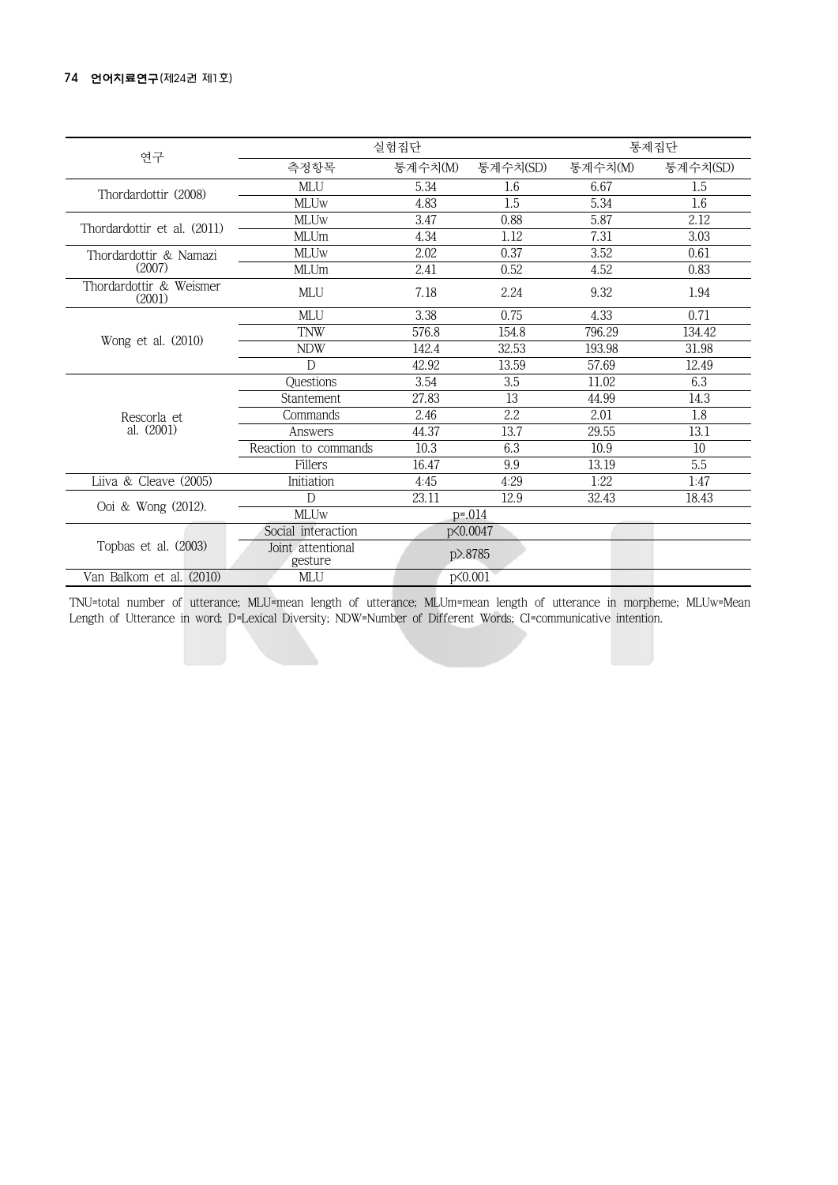| 연구                                |                              | 실험집단    |             |         |                 |  |  |  |
|-----------------------------------|------------------------------|---------|-------------|---------|-----------------|--|--|--|
|                                   | 측정항목                         | 통계수치(M) | 통계수치(SD)    | 통계수치(M) | 통계수치(SD)        |  |  |  |
|                                   | MLU                          | 5.34    | 1.6         | 6.67    | 1.5             |  |  |  |
| Thordardottir (2008)              | <b>MLUw</b>                  | 4.83    | 1.5         | 5.34    | $1.6\,$         |  |  |  |
| Thordardottir et al. (2011)       | <b>MLUw</b>                  | 3.47    | 0.88        | 5.87    | 2.12            |  |  |  |
|                                   | <b>MLUm</b>                  | 4.34    | 1.12        | 7.31    | 3.03            |  |  |  |
| Thordardottir & Namazi            | <b>MLUw</b>                  | 2.02    | 0.37        | 3.52    | 0.61            |  |  |  |
| (2007)                            | <b>MLUm</b>                  | 2.41    | 0.52        | 4.52    | 0.83            |  |  |  |
| Thordardottir & Weismer<br>(2001) | MLU                          | 7.18    | 2.24        | 9.32    | 1.94            |  |  |  |
|                                   | MLU                          | 3.38    | 0.75        | 4.33    | 0.71            |  |  |  |
| Wong et al. (2010)                | <b>TNW</b>                   | 576.8   | 154.8       | 796.29  | 134.42          |  |  |  |
|                                   | <b>NDW</b>                   | 142.4   | 32.53       | 193.98  | 31.98           |  |  |  |
|                                   | $\mathsf{D}$                 | 42.92   | 13.59       | 57.69   | 12.49           |  |  |  |
|                                   | Questions                    | 3.54    | 3.5         | 11.02   | 6.3             |  |  |  |
|                                   | Stantement                   | 27.83   | 13          | 44.99   | 14.3            |  |  |  |
| Rescorla et                       | Commands                     | 2.46    | 2.2         | 2.01    | 1.8             |  |  |  |
| al. (2001)                        | Answers                      | 44.37   | 13.7        | 29.55   | 13.1            |  |  |  |
|                                   | Reaction to commands         | 10.3    | 6.3         | 10.9    | 10 <sup>°</sup> |  |  |  |
|                                   | Fillers                      | 16.47   | 9.9         | 13.19   | 5.5             |  |  |  |
| Liiva & Cleave (2005)             | Initiation                   | 4:45    | 4:29        | 1:22    | 1:47            |  |  |  |
| Ooi & Wong (2012).                | D                            | 23.11   | 12.9        | 32.43   | 18.43           |  |  |  |
|                                   | <b>MLUw</b>                  |         | $p = 0.014$ |         |                 |  |  |  |
|                                   | Social interaction           |         | p<0.0047    |         |                 |  |  |  |
| Topbas et al. (2003)              | Joint attentional<br>gesture |         | p>.8785     |         |                 |  |  |  |
| Van Balkom et al. (2010)          | MLU                          |         | p<0.001     |         |                 |  |  |  |

TNU=total number of utterance; MLU=mean length of utterance; MLUm=mean length of utterance in morpheme; MLUw=Mean Length of Utterance in word; D=Lexical Diversity; NDW=Number of Different Words; CI=communicative intention.